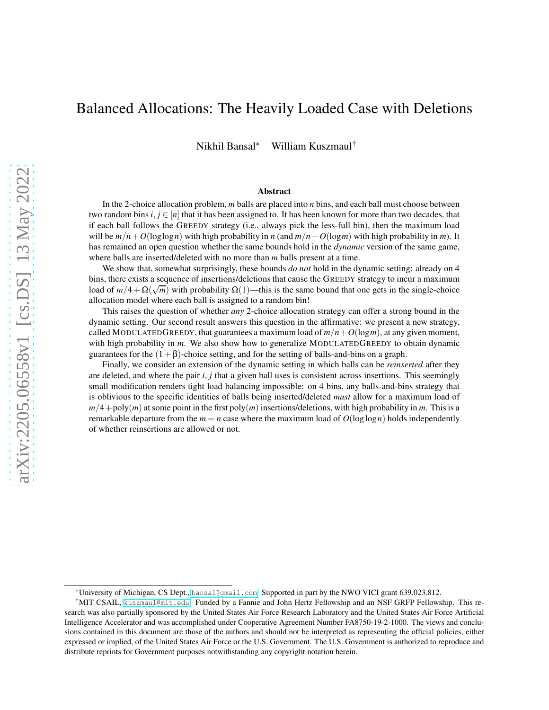# Balanced Allocations: The Heavily Loaded Case with Deletions

Nikhil Bansal\* William Kuszmaul†

#### Abstract

In the 2-choice allocation problem, *m* balls are placed into *n* bins, and each ball must choose between two random bins  $i, j \in [n]$  that it has been assigned to. It has been known for more than two decades, that if each ball follows the GREEDY strategy (i.e., always pick the less-full bin), then the maximum load will be  $m/n + O(\log \log n)$  with high probability in *n* (and  $m/n + O(\log m)$  with high probability in *m*). It has remained an open question whether the same bounds hold in the *dynamic* version of the same game, where balls are inserted/deleted with no more than *m* balls present at a time.

We show that, somewhat surprisingly, these bounds *do not* hold in the dynamic setting: already on 4 bins, there exists a sequence of insertions/deletions that cause the GREEDY strategy to incur a maximum load of  $m/4 + \Omega(\sqrt{m})$  with probability  $\Omega(1)$ —this is the same bound that one gets in the single-choice allocation model where each ball is assigned to a random bin!

This raises the question of whether *any* 2-choice allocation strategy can offer a strong bound in the dynamic setting. Our second result answers this question in the affirmative: we present a new strategy, called MODULATEDGREEDY, that guarantees a maximum load of  $m/n + O(log m)$ , at any given moment, with high probability in *m*. We also show how to generalize MODULATEDGREEDY to obtain dynamic guarantees for the  $(1+\beta)$ -choice setting, and for the setting of balls-and-bins on a graph.

Finally, we consider an extension of the dynamic setting in which balls can be *reinserted* after they are deleted, and where the pair *i*, *j* that a given ball uses is consistent across insertions. This seemingly small modification renders tight load balancing impossible: on 4 bins, any balls-and-bins strategy that is oblivious to the specific identities of balls being inserted/deleted *must* allow for a maximum load of  $m/4$ +poly $(m)$  at some point in the first poly $(m)$  insertions/deletions, with high probability in *m*. This is a remarkable departure from the  $m = n$  case where the maximum load of  $O(\log \log n)$  holds independently of whether reinsertions are allowed or not.

<sup>\*</sup>University of Michigan, CS Dept., [bansal@gmail.com](bansal@gmail.com ). Supported in part by the NWO VICI grant 639.023.812.

<sup>†</sup>MIT CSAIL, <kuszmaul@mit.edu>. Funded by a Fannie and John Hertz Fellowship and an NSF GRFP Fellowship. This research was also partially sponsored by the United States Air Force Research Laboratory and the United States Air Force Artificial Intelligence Accelerator and was accomplished under Cooperative Agreement Number FA8750-19-2-1000. The views and conclusions contained in this document are those of the authors and should not be interpreted as representing the official policies, either expressed or implied, of the United States Air Force or the U.S. Government. The U.S. Government is authorized to reproduce and distribute reprints for Government purposes notwithstanding any copyright notation herein.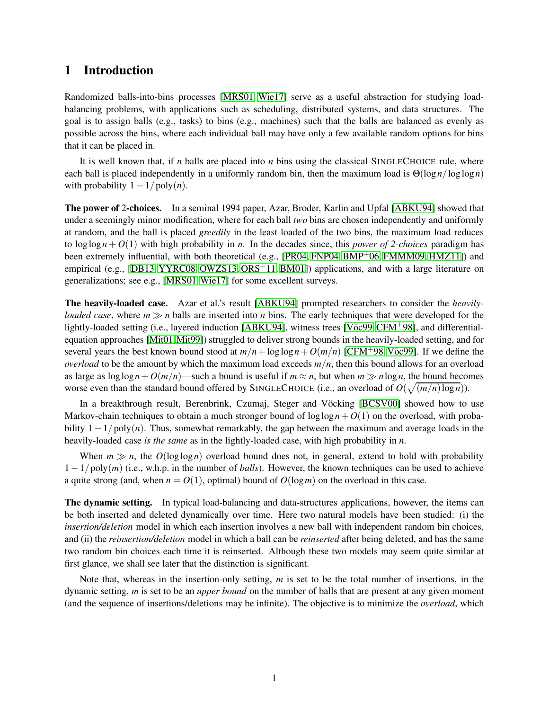## 1 Introduction

Randomized balls-into-bins processes [\[MRS01,](#page-29-0) [Wie17\]](#page-30-0) serve as a useful abstraction for studying loadbalancing problems, with applications such as scheduling, distributed systems, and data structures. The goal is to assign balls (e.g., tasks) to bins (e.g., machines) such that the balls are balanced as evenly as possible across the bins, where each individual ball may have only a few available random options for bins that it can be placed in.

It is well known that, if *n* balls are placed into *n* bins using the classical SINGLECHOICE rule, where each ball is placed independently in a uniformly random bin, then the maximum load is Θ(log *n*/loglog*n*) with probability  $1 - 1/poly(n)$ .

The power of 2-choices. In a seminal 1994 paper, Azar, Broder, Karlin and Upfal [\[ABKU94\]](#page-28-0) showed that under a seemingly minor modification, where for each ball *two* bins are chosen independently and uniformly at random, and the ball is placed *greedily* in the least loaded of the two bins, the maximum load reduces to  $\log \log n + O(1)$  with high probability in *n*. In the decades since, this *power of 2-choices* paradigm has been extremely influential, with both theoretical (e.g., [\[PR04,](#page-29-1) [FNP04,](#page-29-2) [BMP](#page-28-1)+06, [FMMM09,](#page-29-3) [HMZ11\]](#page-29-4)) and empirical (e.g., [\[DB13,](#page-28-2) [YYRC08,](#page-30-1) [OWZS13,](#page-29-5) [ORS](#page-29-6) $\pm$ 11, [BM01\]](#page-28-3)) applications, and with a large literature on generalizations; see e.g., [\[MRS01,](#page-29-0)[Wie17\]](#page-30-0) for some excellent surveys.

The heavily-loaded case. Azar et al.'s result [\[ABKU94\]](#page-28-0) prompted researchers to consider the *heavilyloaded case*, where *m* ≫ *n* balls are inserted into *n* bins. The early techniques that were developed for the lightly-loaded setting (i.e., layered induction [\[ABKU94\]](#page-28-0), witness trees [V $\ddot{\rm o}$ cego, [CFM](#page-28-4)<sup>+</sup>98], and differentialequation approaches [\[Mit01,](#page-29-7)[Mit99\]](#page-29-8)) struggled to deliver strong bounds in the heavily-loaded setting, and for several years the best known bound stood at  $m/n + \log \log n + O(m/n)$  [\[CFM](#page-28-4)+98, Vöc99]. If we define the *overload* to be the amount by which the maximum load exceeds  $m/n$ , then this bound allows for an overload as large as  $\log \log n + O(m/n)$ —such a bound is useful if  $m \approx n$ , but when  $m \gg n \log n$ , the bound becomes worse even than the standard bound offered by SINGLECHOICE (i.e., an overload of  $O(\sqrt{(m/n)\log n})$ ).

In a breakthrough result, Berenbrink, Czumaj, Steger and Vöcking [\[BCSV00\]](#page-28-5) showed how to use Markov-chain techniques to obtain a much stronger bound of  $\log \log n + O(1)$  on the overload, with probability 1−1/poly(*n*). Thus, somewhat remarkably, the gap between the maximum and average loads in the heavily-loaded case *is the same* as in the lightly-loaded case, with high probability in *n*.

When  $m \gg n$ , the  $O(log \log n)$  overload bound does not, in general, extend to hold with probability 1−1/poly(*m*) (i.e., w.h.p. in the number of *balls*). However, the known techniques can be used to achieve a quite strong (and, when  $n = O(1)$ , optimal) bound of  $O(\log m)$  on the overload in this case.

The dynamic setting. In typical load-balancing and data-structures applications, however, the items can be both inserted and deleted dynamically over time. Here two natural models have been studied: (i) the *insertion/deletion* model in which each insertion involves a new ball with independent random bin choices, and (ii) the *reinsertion/deletion* model in which a ball can be *reinserted* after being deleted, and has the same two random bin choices each time it is reinserted. Although these two models may seem quite similar at first glance, we shall see later that the distinction is significant.

Note that, whereas in the insertion-only setting, *m* is set to be the total number of insertions, in the dynamic setting, *m* is set to be an *upper bound* on the number of balls that are present at any given moment (and the sequence of insertions/deletions may be infinite). The objective is to minimize the *overload*, which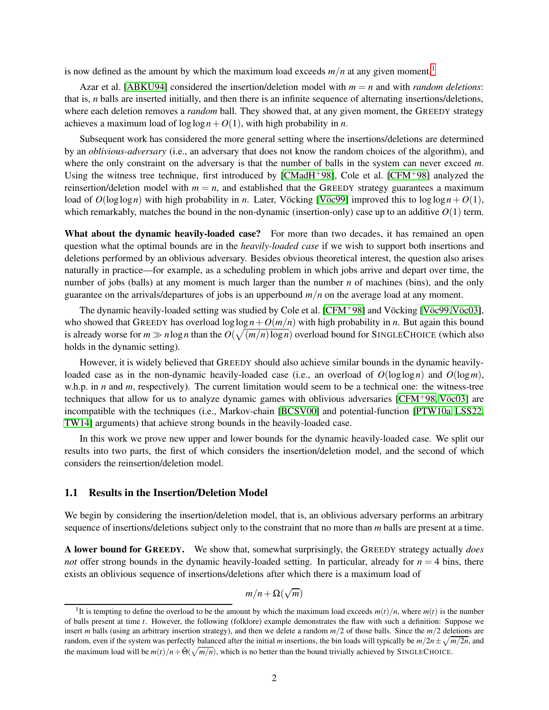is now defined as the amount by which the maximum load exceeds  $m/n$  at any given moment.<sup>[1](#page-2-0)</sup>

Azar et al. [\[ABKU94\]](#page-28-0) considered the insertion/deletion model with  $m = n$  and with *random deletions*: that is, *n* balls are inserted initially, and then there is an infinite sequence of alternating insertions/deletions, where each deletion removes a *random* ball. They showed that, at any given moment, the GREEDY strategy achieves a maximum load of  $\log \log n + O(1)$ , with high probability in *n*.

Subsequent work has considered the more general setting where the insertions/deletions are determined by an *oblivious-adversary* (i.e., an adversary that does not know the random choices of the algorithm), and where the only constraint on the adversary is that the number of balls in the system can never exceed *m*. Using the witness tree technique, first introduced by [\[CMadH](#page-28-6)<sup>+</sup>98], Cole et al. [\[CFM](#page-28-4)<sup>+</sup>98] analyzed the reinsertion/deletion model with  $m = n$ , and established that the GREEDY strategy guarantees a maximum load of  $O(\log \log n)$  with high probability in *n*. Later, Vöcking [Vöc99] improved this to  $\log \log n + O(1)$ , which remarkably, matches the bound in the non-dynamic (insertion-only) case up to an additive  $O(1)$  term.

What about the dynamic heavily-loaded case? For more than two decades, it has remained an open question what the optimal bounds are in the *heavily-loaded case* if we wish to support both insertions and deletions performed by an oblivious adversary. Besides obvious theoretical interest, the question also arises naturally in practice—for example, as a scheduling problem in which jobs arrive and depart over time, the number of jobs (balls) at any moment is much larger than the number *n* of machines (bins), and the only guarantee on the arrivals/departures of jobs is an upperbound *m*/*n* on the average load at any moment.

The dynamic heavily-loaded setting was studied by Cole et al. [\[CFM](#page-28-4)+98] and Vöcking [Vöc99, Vöc03], who showed that GREEDY has overload  $\log \log n + O(m/n)$  with high probability in *n*. But again this bound is already worse for  $m \gg n \log n$  than the  $O(\sqrt{(m/n) \log n})$  overload bound for SINGLECHOICE (which also holds in the dynamic setting).

However, it is widely believed that GREEDY should also achieve similar bounds in the dynamic heavilyloaded case as in the non-dynamic heavily-loaded case (i.e., an overload of  $O(\log \log n)$ ) and  $O(\log m)$ , w.h.p. in *n* and *m*, respectively). The current limitation would seem to be a technical one: the witness-tree techniques that allow for us to analyze dynamic games with oblivious adversaries  $[CFM+98, V\ddot{o}c03]$  $[CFM+98, V\ddot{o}c03]$  are incompatible with the techniques (i.e., Markov-chain [\[BCSV00\]](#page-28-5) and potential-function [\[PTW10a,](#page-29-9) [LSS22,](#page-29-10) [TW14\]](#page-30-4) arguments) that achieve strong bounds in the heavily-loaded case.

In this work we prove new upper and lower bounds for the dynamic heavily-loaded case. We split our results into two parts, the first of which considers the insertion/deletion model, and the second of which considers the reinsertion/deletion model.

### 1.1 Results in the Insertion/Deletion Model

We begin by considering the insertion/deletion model, that is, an oblivious adversary performs an arbitrary sequence of insertions/deletions subject only to the constraint that no more than *m* balls are present at a time.

A lower bound for GREEDY. We show that, somewhat surprisingly, the GREEDY strategy actually *does not* offer strong bounds in the dynamic heavily-loaded setting. In particular, already for  $n = 4$  bins, there exists an oblivious sequence of insertions/deletions after which there is a maximum load of

$$
m/n + \Omega(\sqrt{m})
$$

<span id="page-2-0"></span><sup>&</sup>lt;sup>1</sup>It is tempting to define the overload to be the amount by which the maximum load exceeds  $m(t)/n$ , where  $m(t)$  is the number of balls present at time *t*. However, the following (folklore) example demonstrates the flaw with such a definition: Suppose we insert *m* balls (using an arbitrary insertion strategy), and then we delete a random *m*/2 of those balls. Since the *m*/2 deletions are random, even if the system was perfectly balanced after the initial *m* insertions, the bin loads will typically be  $m/2n \pm \sqrt{m/2n}$ , and the maximum load will be  $m(t)/n + \tilde{\Theta}(\sqrt{m/n})$ , which is no better than the bound trivially achieved by SINGLECHOICE.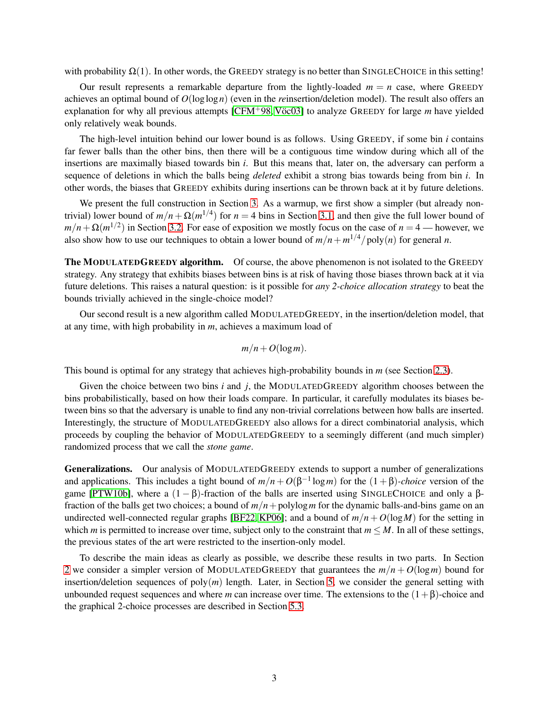with probability  $\Omega(1)$ . In other words, the GREEDY strategy is no better than SINGLECHOICE in this setting!

Our result represents a remarkable departure from the lightly-loaded  $m = n$  case, where GREEDY achieves an optimal bound of  $O(\log \log n)$  (even in the *re*insertion/deletion model). The result also offers an explanation for why all previous attempts  $[CFM+98, V\ddot{o}c03]$  to analyze GREEDY for large *m* have yielded only relatively weak bounds.

The high-level intuition behind our lower bound is as follows. Using GREEDY, if some bin *i* contains far fewer balls than the other bins, then there will be a contiguous time window during which all of the insertions are maximally biased towards bin *i*. But this means that, later on, the adversary can perform a sequence of deletions in which the balls being *deleted* exhibit a strong bias towards being from bin *i*. In other words, the biases that GREEDY exhibits during insertions can be thrown back at it by future deletions.

We present the full construction in Section [3.](#page-9-0) As a warmup, we first show a simpler (but already nontrivial) lower bound of  $m/n + \Omega(m^{1/4})$  for  $n = 4$  bins in Section [3.1,](#page-10-0) and then give the full lower bound of  $m/n + \Omega(m^{1/2})$  in Section [3.2.](#page-11-0) For ease of exposition we mostly focus on the case of  $n = 4$ — however, we also show how to use our techniques to obtain a lower bound of  $m/n + m^{1/4}/poly(n)$  for general *n*.

The MODULATEDGREEDY algorithm. Of course, the above phenomenon is not isolated to the GREEDY strategy. Any strategy that exhibits biases between bins is at risk of having those biases thrown back at it via future deletions. This raises a natural question: is it possible for *any 2-choice allocation strategy* to beat the bounds trivially achieved in the single-choice model?

Our second result is a new algorithm called MODULATEDGREEDY, in the insertion/deletion model, that at any time, with high probability in *m*, achieves a maximum load of

$$
m/n + O(\log m).
$$

This bound is optimal for any strategy that achieves high-probability bounds in *m* (see Section [2.3\)](#page-9-1).

Given the choice between two bins *i* and *j*, the MODULATEDGREEDY algorithm chooses between the bins probabilistically, based on how their loads compare. In particular, it carefully modulates its biases between bins so that the adversary is unable to find any non-trivial correlations between how balls are inserted. Interestingly, the structure of MODULATEDGREEDY also allows for a direct combinatorial analysis, which proceeds by coupling the behavior of MODULATEDGREEDY to a seemingly different (and much simpler) randomized process that we call the *stone game*.

Generalizations. Our analysis of MODULATEDGREEDY extends to support a number of generalizations and applications. This includes a tight bound of  $m/n + O(\beta^{-1} \log m)$  for the  $(1 + \beta)$ *-choice* version of the game [\[PTW10b\]](#page-29-11), where a  $(1 - \beta)$ -fraction of the balls are inserted using SINGLECHOICE and only a βfraction of the balls get two choices; a bound of *m*/*n*+polylog*m* for the dynamic balls-and-bins game on an undirected well-connected regular graphs [\[BF22,](#page-28-7) [KP06\]](#page-29-12); and a bound of  $m/n + O(\log M)$  for the setting in which *m* is permitted to increase over time, subject only to the constraint that  $m \leq M$ . In all of these settings, the previous states of the art were restricted to the insertion-only model.

To describe the main ideas as clearly as possible, we describe these results in two parts. In Section [2](#page-5-0) we consider a simpler version of MODULATEDGREEDY that guarantees the  $m/n + O(\log m)$  bound for insertion/deletion sequences of  $poly(m)$  length. Later, in Section [5,](#page-20-0) we consider the general setting with unbounded request sequences and where *m* can increase over time. The extensions to the (1+β)-choice and the graphical 2-choice processes are described in Section [5.3.](#page-24-0)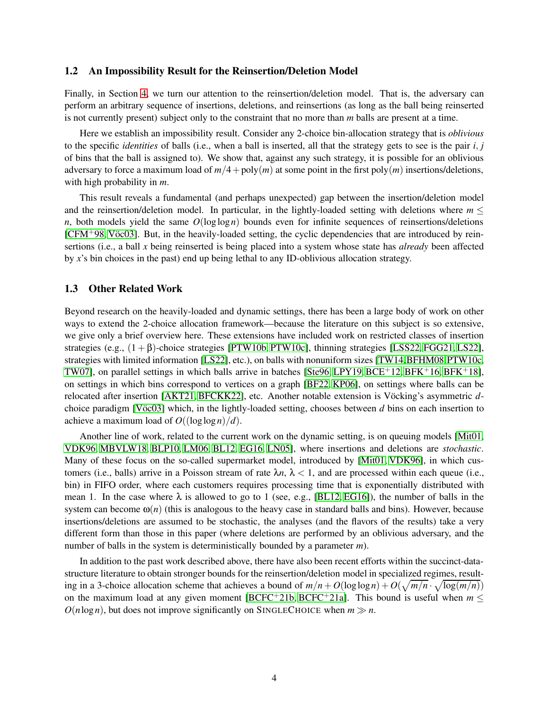### 1.2 An Impossibility Result for the Reinsertion/Deletion Model

Finally, in Section [4,](#page-15-0) we turn our attention to the reinsertion/deletion model. That is, the adversary can perform an arbitrary sequence of insertions, deletions, and reinsertions (as long as the ball being reinserted is not currently present) subject only to the constraint that no more than *m* balls are present at a time.

Here we establish an impossibility result. Consider any 2-choice bin-allocation strategy that is *oblivious* to the specific *identities* of balls (i.e., when a ball is inserted, all that the strategy gets to see is the pair *i*, *j* of bins that the ball is assigned to). We show that, against any such strategy, it is possible for an oblivious adversary to force a maximum load of  $m/4 + \text{poly}(m)$  at some point in the first  $\text{poly}(m)$  insertions/deletions, with high probability in *m*.

This result reveals a fundamental (and perhaps unexpected) gap between the insertion/deletion model and the reinsertion/deletion model. In particular, in the lightly-loaded setting with deletions where  $m <$ *n*, both models yield the same *O*(loglog*n*) bounds even for infinite sequences of reinsertions/deletions  $[CFM+98, V\ddot{o}c03]$  $[CFM+98, V\ddot{o}c03]$ . But, in the heavily-loaded setting, the cyclic dependencies that are introduced by reinsertions (i.e., a ball *x* being reinserted is being placed into a system whose state has *already* been affected by *x*'s bin choices in the past) end up being lethal to any ID-oblivious allocation strategy.

### 1.3 Other Related Work

Beyond research on the heavily-loaded and dynamic settings, there has been a large body of work on other ways to extend the 2-choice allocation framework—because the literature on this subject is so extensive, we give only a brief overview here. These extensions have included work on restricted classes of insertion strategies (e.g.,  $(1 + \beta)$ -choice strategies [\[PTW10b,](#page-29-11) [PTW10c\]](#page-29-13), thinning strategies [\[LSS22,](#page-29-10) [FGG21,](#page-29-14) [LS22\]](#page-29-15), strategies with limited information [\[LS22\]](#page-29-15), etc.), on balls with nonuniform sizes [\[TW14,](#page-30-4)[BFHM08,](#page-28-8)[PTW10c,](#page-29-13) [TW07\]](#page-30-5), on parallel settings in which balls arrive in batches [\[Ste96,](#page-30-6) [LPY19,](#page-29-16) [BCE](#page-28-9)<sup>+</sup>12, [BFK](#page-28-11)<sup>+</sup>16, BFK<sup>+</sup>18], on settings in which bins correspond to vertices on a graph [\[BF22,](#page-28-7) [KP06\]](#page-29-12), on settings where balls can be relocated after insertion [\[AKT21,](#page-28-12) [BFCKK22\]](#page-28-13), etc. Another notable extension is Vöcking's asymmetric *d*choice paradigm [V $\ddot{\text{o}}$ c03] which, in the lightly-loaded setting, chooses between *d* bins on each insertion to achieve a maximum load of  $O((\log \log n)/d)$ .

Another line of work, related to the current work on the dynamic setting, is on queuing models [\[Mit01,](#page-29-7) [VDK96,](#page-30-7) [MBVLW18,](#page-29-17) [BLP10,](#page-28-14) [LM06,](#page-29-18) [BL12,](#page-28-15) [EG16,](#page-28-16) [LN05\]](#page-29-19), where insertions and deletions are *stochastic*. Many of these focus on the so-called supermarket model, introduced by [\[Mit01,](#page-29-7) [VDK96\]](#page-30-7), in which customers (i.e., balls) arrive in a Poisson stream of rate  $\lambda n$ ,  $\lambda < 1$ , and are processed within each queue (i.e., bin) in FIFO order, where each customers requires processing time that is exponentially distributed with mean 1. In the case where  $\lambda$  is allowed to go to 1 (see, e.g., [\[BL12,](#page-28-15) [EG16\]](#page-28-16)), the number of balls in the system can become  $\omega(n)$  (this is analogous to the heavy case in standard balls and bins). However, because insertions/deletions are assumed to be stochastic, the analyses (and the flavors of the results) take a very different form than those in this paper (where deletions are performed by an oblivious adversary, and the number of balls in the system is deterministically bounded by a parameter *m*).

In addition to the past work described above, there have also been recent efforts within the succinct-datastructure literature to obtain stronger bounds for the reinsertion/deletion model in specialized regimes, resulting in a 3-choice allocation scheme that achieves a bound of  $m/n + O(\log \log n) + O(\sqrt{m/n} \cdot \sqrt{\log(m/n)})$ on the maximum load at any given moment [\[BCFC](#page-28-17)<sup>+</sup>21b, [BCFC](#page-28-18)<sup>+</sup>21a]. This bound is useful when  $m <$  $O(n \log n)$ , but does not improve significantly on SINGLECHOICE when  $m \gg n$ .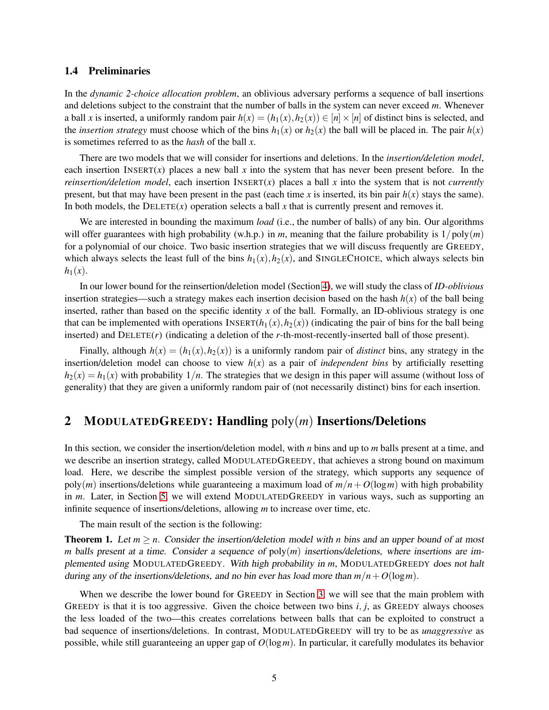### 1.4 Preliminaries

In the *dynamic 2-choice allocation problem*, an oblivious adversary performs a sequence of ball insertions and deletions subject to the constraint that the number of balls in the system can never exceed *m*. Whenever a ball *x* is inserted, a uniformly random pair  $h(x) = (h_1(x), h_2(x)) \in [n] \times [n]$  of distinct bins is selected, and the *insertion strategy* must choose which of the bins  $h_1(x)$  or  $h_2(x)$  the ball will be placed in. The pair  $h(x)$ is sometimes referred to as the *hash* of the ball *x*.

There are two models that we will consider for insertions and deletions. In the *insertion/deletion model*, each insertion INSERT $(x)$  places a new ball x into the system that has never been present before. In the *reinsertion/deletion model*, each insertion INSERT(*x*) places a ball *x* into the system that is not *currently* present, but that may have been present in the past (each time *x* is inserted, its bin pair  $h(x)$  stays the same). In both models, the  $D \text{ELETE}(x)$  operation selects a ball x that is currently present and removes it.

We are interested in bounding the maximum *load* (i.e., the number of balls) of any bin. Our algorithms will offer guarantees with high probability (w.h.p.) in *m*, meaning that the failure probability is  $1/poly(m)$ for a polynomial of our choice. Two basic insertion strategies that we will discuss frequently are GREEDY, which always selects the least full of the bins  $h_1(x), h_2(x)$ , and SINGLECHOICE, which always selects bin  $h_1(x)$ .

In our lower bound for the reinsertion/deletion model (Section [4\)](#page-15-0), we will study the class of *ID-oblivious* insertion strategies—such a strategy makes each insertion decision based on the hash  $h(x)$  of the ball being inserted, rather than based on the specific identity *x* of the ball. Formally, an ID-oblivious strategy is one that can be implemented with operations  $INSERT(h_1(x), h_2(x))$  (indicating the pair of bins for the ball being inserted) and DELETE(*r*) (indicating a deletion of the *r*-th-most-recently-inserted ball of those present).

Finally, although  $h(x) = (h_1(x), h_2(x))$  is a uniformly random pair of *distinct* bins, any strategy in the insertion/deletion model can choose to view  $h(x)$  as a pair of *independent bins* by artificially resetting  $h_2(x) = h_1(x)$  with probability  $1/n$ . The strategies that we design in this paper will assume (without loss of generality) that they are given a uniformly random pair of (not necessarily distinct) bins for each insertion.

## <span id="page-5-0"></span>2 MODULATEDGREEDY: Handling poly(*m*) Insertions/Deletions

In this section, we consider the insertion/deletion model, with *n* bins and up to *m* balls present at a time, and we describe an insertion strategy, called MODULATEDGREEDY, that achieves a strong bound on maximum load. Here, we describe the simplest possible version of the strategy, which supports any sequence of  $poly(m)$  insertions/deletions while guaranteeing a maximum load of  $m/n + O(\log m)$  with high probability in *m*. Later, in Section [5,](#page-20-0) we will extend MODULATEDGREEDY in various ways, such as supporting an infinite sequence of insertions/deletions, allowing *m* to increase over time, etc.

The main result of the section is the following:

<span id="page-5-1"></span>**Theorem 1.** Let  $m \ge n$ . Consider the insertion/deletion model with *n* bins and an upper bound of at most *m* balls present at a time. Consider a sequence of poly(*m*) insertions/deletions, where insertions are implemented using MODULATEDGREEDY. With high probability in *m*, MODULATEDGREEDY does not halt during any of the insertions/deletions, and no bin ever has load more than  $m/n + O(\log m)$ .

When we describe the lower bound for GREEDY in Section [3,](#page-9-0) we will see that the main problem with GREEDY is that it is too aggressive. Given the choice between two bins  $i, j$ , as GREEDY always chooses the less loaded of the two—this creates correlations between balls that can be exploited to construct a bad sequence of insertions/deletions. In contrast, MODULATEDGREEDY will try to be as *unaggressive* as possible, while still guaranteeing an upper gap of *O*(log*m*). In particular, it carefully modulates its behavior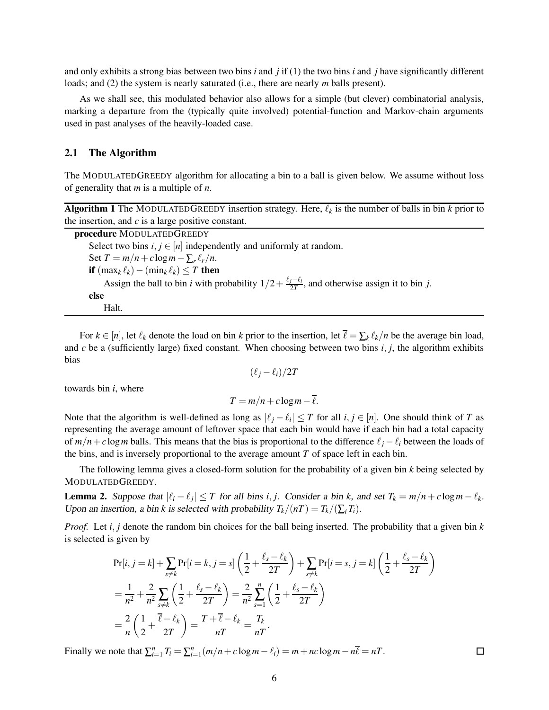and only exhibits a strong bias between two bins *i* and *j* if (1) the two bins *i* and *j* have significantly different loads; and (2) the system is nearly saturated (i.e., there are nearly *m* balls present).

As we shall see, this modulated behavior also allows for a simple (but clever) combinatorial analysis, marking a departure from the (typically quite involved) potential-function and Markov-chain arguments used in past analyses of the heavily-loaded case.

### 2.1 The Algorithm

The MODULATEDGREEDY algorithm for allocating a bin to a ball is given below. We assume without loss of generality that *m* is a multiple of *n*.

| <b>Algorithm 1</b> The MODULATEDGREEDY insertion strategy. Here, $\ell_k$ is the number of balls in bin k prior to |  |  |  |  |  |
|--------------------------------------------------------------------------------------------------------------------|--|--|--|--|--|
| the insertion, and $c$ is a large positive constant.                                                               |  |  |  |  |  |

| procedure MODULATEDGREEDY                                                                                                       |
|---------------------------------------------------------------------------------------------------------------------------------|
| Select two bins $i, j \in [n]$ independently and uniformly at random.                                                           |
| Set $T = m/n + c \log m - \sum_r \ell_r/n$ .                                                                                    |
| <b>if</b> $(\max_k \ell_k) - (\min_k \ell_k) \leq T$ then                                                                       |
| Assign the ball to bin <i>i</i> with probability $1/2 + \frac{\ell_j - \ell_i}{2T}$ , and otherwise assign it to bin <i>j</i> . |
| else                                                                                                                            |
| Halt.                                                                                                                           |

For  $k \in [n]$ , let  $\ell_k$  denote the load on bin  $k$  prior to the insertion, let  $\ell = \sum_k \ell_k/n$  be the average bin load, and *c* be a (sufficiently large) fixed constant. When choosing between two bins *i*, *j*, the algorithm exhibits bias

$$
(\ell_j - \ell_i)/2T
$$

towards bin *i*, where

$$
T = m/n + c \log m - \overline{\ell}.
$$

Note that the algorithm is well-defined as long as  $|\ell_j - \ell_i| \leq T$  for all  $i, j \in [n]$ . One should think of *T* as representing the average amount of leftover space that each bin would have if each bin had a total capacity of  $m/n + c \log m$  balls. This means that the bias is proportional to the difference  $\ell_i - \ell_i$  between the loads of the bins, and is inversely proportional to the average amount *T* of space left in each bin.

The following lemma gives a closed-form solution for the probability of a given bin *k* being selected by MODULATEDGREEDY.

<span id="page-6-0"></span>**Lemma 2.** Suppose that  $|\ell_i - \ell_j| \leq T$  for all bins *i*, *j*. Consider a bin *k*, and set  $T_k = m/n + c \log m - \ell_k$ . Upon an insertion, a bin *k* is selected with probability  $T_k/(nT) = T_k/(\sum_i T_i)$ .

*Proof.* Let *i*, *j* denote the random bin choices for the ball being inserted. The probability that a given bin *k* is selected is given by

$$
\Pr[i, j = k] + \sum_{s \neq k} \Pr[i = k, j = s] \left( \frac{1}{2} + \frac{\ell_s - \ell_k}{2T} \right) + \sum_{s \neq k} \Pr[i = s, j = k] \left( \frac{1}{2} + \frac{\ell_s - \ell_k}{2T} \right)
$$
  
=  $\frac{1}{n^2} + \frac{2}{n^2} \sum_{s \neq k} \left( \frac{1}{2} + \frac{\ell_s - \ell_k}{2T} \right) = \frac{2}{n^2} \sum_{s=1}^n \left( \frac{1}{2} + \frac{\ell_s - \ell_k}{2T} \right)$   
=  $\frac{2}{n} \left( \frac{1}{2} + \frac{\overline{\ell} - \ell_k}{2T} \right) = \frac{T + \overline{\ell} - \ell_k}{nT} = \frac{T_k}{nT}.$ 

Finally we note that  $\sum_{i=1}^{n} T_i = \sum_{i=1}^{n} (m/n + c \log m - \ell_i) = m + nc \log m - n\overline{\ell} = nT$ .

 $\Box$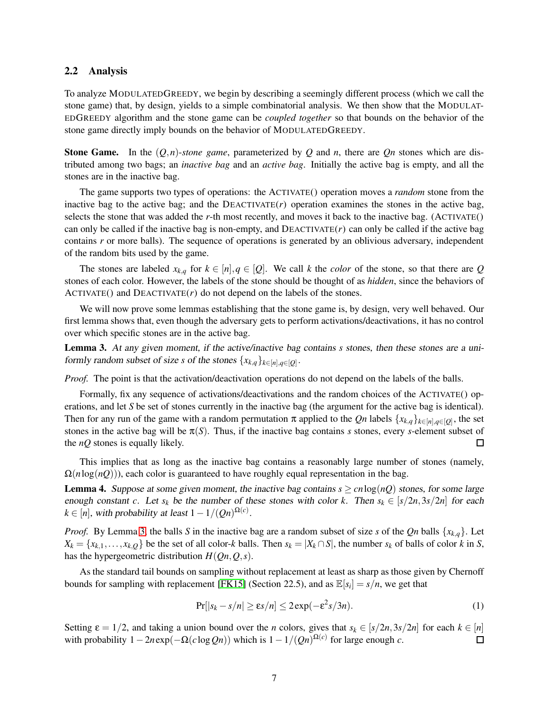### 2.2 Analysis

To analyze MODULATEDGREEDY, we begin by describing a seemingly different process (which we call the stone game) that, by design, yields to a simple combinatorial analysis. We then show that the MODULAT-EDGREEDY algorithm and the stone game can be *coupled together* so that bounds on the behavior of the stone game directly imply bounds on the behavior of MODULATEDGREEDY.

**Stone Game.** In the  $(Q, n)$ -*stone game*, parameterized by  $Q$  and  $n$ , there are  $Qn$  stones which are distributed among two bags; an *inactive bag* and an *active bag*. Initially the active bag is empty, and all the stones are in the inactive bag.

The game supports two types of operations: the ACTIVATE() operation moves a *random* stone from the inactive bag to the active bag; and the DEACTIVATE $(r)$  operation examines the stones in the active bag, selects the stone that was added the *r*-th most recently, and moves it back to the inactive bag. (ACTIVATE() can only be called if the inactive bag is non-empty, and  $DEACTIVATE(r)$  can only be called if the active bag contains *r* or more balls). The sequence of operations is generated by an oblivious adversary, independent of the random bits used by the game.

The stones are labeled  $x_{k,q}$  for  $k \in [n], q \in [Q]$ . We call *k* the *color* of the stone, so that there are *Q* stones of each color. However, the labels of the stone should be thought of as *hidden*, since the behaviors of  $ACTIVATE()$  and  $DEACTIVATE(r)$  do not depend on the labels of the stones.

We will now prove some lemmas establishing that the stone game is, by design, very well behaved. Our first lemma shows that, even though the adversary gets to perform activations/deactivations, it has no control over which specific stones are in the active bag.

<span id="page-7-0"></span>Lemma 3. At any given moment, if the active/inactive bag contains *s* stones, then these stones are <sup>a</sup> uniformly random subset of size *s* of the stones  $\{x_{k,q}\}_{k \in [n], q \in [Q]}$ .

*Proof.* The point is that the activation/deactivation operations do not depend on the labels of the balls.

Formally, fix any sequence of activations/deactivations and the random choices of the ACTIVATE() operations, and let *S* be set of stones currently in the inactive bag (the argument for the active bag is identical). Then for any run of the game with a random permutation  $\pi$  applied to the *Qn* labels  $\{x_{k,q}\}_{k \in [n], q \in [Q]}$ , the set stones in the active bag will be  $\pi(S)$ . Thus, if the inactive bag contains *s* stones, every *s*-element subset of the *nQ* stones is equally likely.  $\Box$ 

This implies that as long as the inactive bag contains a reasonably large number of stones (namely,  $\Omega(n \log(nQ))$ , each color is guaranteed to have roughly equal representation in the bag.

<span id="page-7-1"></span>**Lemma 4.** Suppose at some given moment, the inactive bag contains  $s \geq c n \log(nQ)$  stones, for some large enough constant *c*. Let  $s_k$  be the number of these stones with color *k*. Then  $s_k \in [s/2n, 3s/2n]$  for each  $k \in [n]$ , with probability at least  $1 - 1/(Qn)^{\Omega(c)}$ .

*Proof.* By Lemma [3,](#page-7-0) the balls *S* in the inactive bag are a random subset of size *s* of the *Qn* balls {*xk*,*q*}. Let  $X_k = \{x_{k,1}, \ldots, x_{k,Q}\}\$ be the set of all color-k balls. Then  $s_k = |X_k \cap S|$ , the number  $s_k$  of balls of color k in S, has the hypergeometric distribution  $H(Qn, Q, s)$ .

As the standard tail bounds on sampling without replacement at least as sharp as those given by Chernoff bounds for sampling with replacement [\[FK15\]](#page-29-20) (Section 22.5), and as  $\mathbb{E}[s_i] = s/n$ , we get that

$$
\Pr[|s_k - s/n| \ge \varepsilon s/n] \le 2\exp(-\varepsilon^2 s/3n). \tag{1}
$$

Setting ε = 1/2, and taking a union bound over the *n* colors, gives that *s<sub>k</sub>* ∈ [*s*/2*n*,3*s*/2*n*] for each *k* ∈ [*n*] with probability 1 − 2*n* exp(−Ω(*c* log *On*)) which is 1 − 1/(*On*)<sup>Ω(*c*)</sup> for large enough with probability  $1 - 2n \exp(-\Omega(c \log Qn))$  which is  $1 - 1/(Qn)^{\Omega(c)}$  for large enough *c*.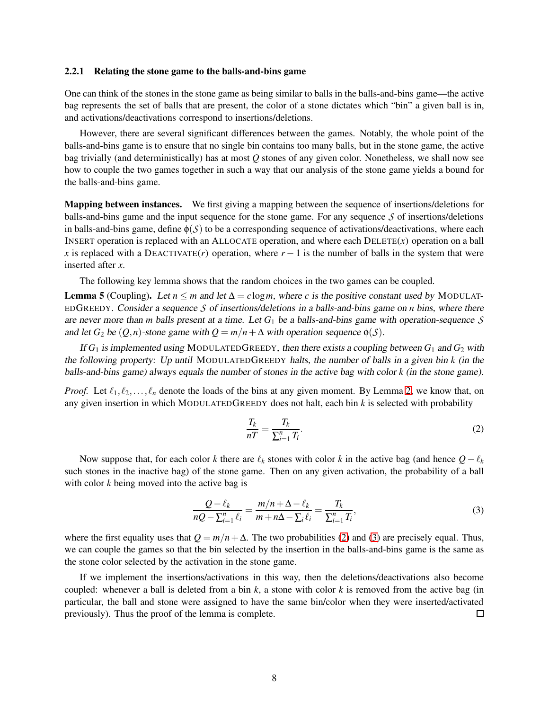#### 2.2.1 Relating the stone game to the balls-and-bins game

One can think of the stones in the stone game as being similar to balls in the balls-and-bins game—the active bag represents the set of balls that are present, the color of a stone dictates which "bin" a given ball is in, and activations/deactivations correspond to insertions/deletions.

However, there are several significant differences between the games. Notably, the whole point of the balls-and-bins game is to ensure that no single bin contains too many balls, but in the stone game, the active bag trivially (and deterministically) has at most *Q* stones of any given color. Nonetheless, we shall now see how to couple the two games together in such a way that our analysis of the stone game yields a bound for the balls-and-bins game.

Mapping between instances. We first giving a mapping between the sequence of insertions/deletions for balls-and-bins game and the input sequence for the stone game. For any sequence *S* of insertions/deletions in balls-and-bins game, define  $\phi(S)$  to be a corresponding sequence of activations/deactivations, where each INSERT operation is replaced with an ALLOCATE operation, and where each DELETE(*x*) operation on a ball *x* is replaced with a DEACTIVATE(*r*) operation, where  $r - 1$  is the number of balls in the system that were inserted after *x*.

The following key lemma shows that the random choices in the two games can be coupled.

<span id="page-8-2"></span>**Lemma 5** (Coupling). Let  $n \le m$  and let  $\Delta = c \log m$ , where *c* is the positive constant used by MODULAT-EDGREEDY. Consider <sup>a</sup> sequence *S* of insertions/deletions in <sup>a</sup> balls-and-bins game on *n* bins, where there are never more than *m* balls present at <sup>a</sup> time. Let *G*<sup>1</sup> be <sup>a</sup> balls-and-bins game with operation-sequence *S* and let  $G_2$  be  $(Q, n)$ -stone game with  $Q = m/n + \Delta$  with operation sequence  $\phi(S)$ .

If  $G_1$  is implemented using MODULATEDGREEDY, then there exists a coupling between  $G_1$  and  $G_2$  with the following property: Up until MODULATEDGREEDY halts, the number of balls in <sup>a</sup> given bin *k* (in the balls-and-bins game) always equals the number of stones in the active bag with color *k* (in the stone game).

*Proof.* Let  $\ell_1, \ell_2, \ldots, \ell_n$  denote the loads of the bins at any given moment. By Lemma [2,](#page-6-0) we know that, on any given insertion in which MODULATEDGREEDY does not halt, each bin *k* is selected with probability

<span id="page-8-0"></span>
$$
\frac{T_k}{nT} = \frac{T_k}{\sum_{i=1}^n T_i}.
$$
\n(2)

Now suppose that, for each color *k* there are  $\ell_k$  stones with color *k* in the active bag (and hence  $Q - \ell_k$ such stones in the inactive bag) of the stone game. Then on any given activation, the probability of a ball with color *k* being moved into the active bag is

<span id="page-8-1"></span>
$$
\frac{Q-\ell_k}{nQ-\sum_{i=1}^n \ell_i} = \frac{m/n + \Delta - \ell_k}{m+n\Delta - \sum_i \ell_i} = \frac{T_k}{\sum_{i=1}^n T_i},\tag{3}
$$

where the first equality uses that  $Q = m/n + \Delta$ . The two probabilities [\(2\)](#page-8-0) and [\(3\)](#page-8-1) are precisely equal. Thus, we can couple the games so that the bin selected by the insertion in the balls-and-bins game is the same as the stone color selected by the activation in the stone game.

If we implement the insertions/activations in this way, then the deletions/deactivations also become coupled: whenever a ball is deleted from a bin  $k$ , a stone with color  $k$  is removed from the active bag (in particular, the ball and stone were assigned to have the same bin/color when they were inserted/activated previously). Thus the proof of the lemma is complete.  $\Box$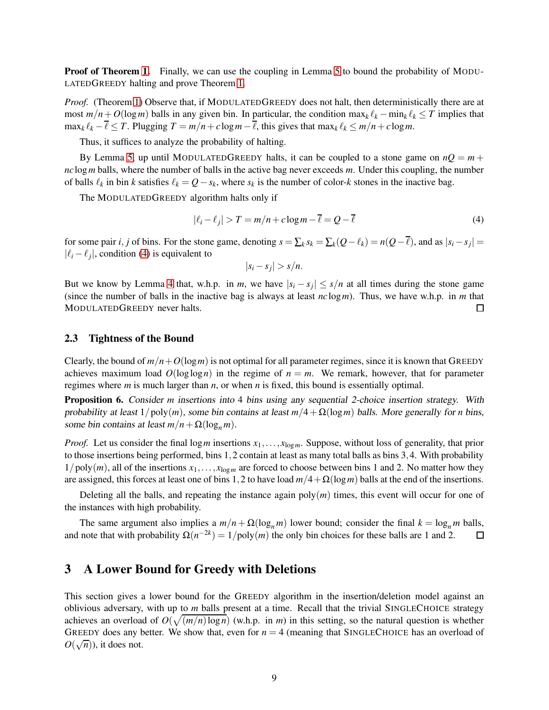Proof of Theorem [1.](#page-5-1) Finally, we can use the coupling in Lemma [5](#page-8-2) to bound the probability of MODU-LATEDGREEDY halting and prove Theorem [1.](#page-5-1)

*Proof.* (Theorem [1\)](#page-5-1) Observe that, if MODULATEDGREEDY does not halt, then deterministically there are at most  $m/n + O(\log m)$  balls in any given bin. In particular, the condition  $\max_k \ell_k - \min_k \ell_k \leq T$  implies that  $\max_k \ell_k - \overline{\ell} \leq T$ . Plugging  $T = m/n + c \log m - \overline{\ell}$ , this gives that  $\max_k \ell_k \leq m/n + c \log m$ .

Thus, it suffices to analyze the probability of halting.

By Lemma [5,](#page-8-2) up until MODULATEDGREEDY halts, it can be coupled to a stone game on  $nQ = m +$ *nc*log*m* balls, where the number of balls in the active bag never exceeds *m*. Under this coupling, the number of balls  $\ell_k$  in bin *k* satisfies  $\ell_k = Q - s_k$ , where  $s_k$  is the number of color-*k* stones in the inactive bag.

The MODULATEDGREEDY algorithm halts only if

<span id="page-9-2"></span>
$$
|\ell_i - \ell_j| > T = m/n + c \log m - \ell = Q - \ell \tag{4}
$$

for some pair *i*, *j* of bins. For the stone game, denoting  $s = \sum_k s_k = \sum_k (Q - \ell_k) = n(Q - \ell)$ , and as  $|s_i - s_j| =$  $|\ell_i - \ell_j|$ , condition [\(4\)](#page-9-2) is equivalent to

$$
|s_i - s_j| > s/n.
$$

But we know by Lemma [4](#page-7-1) that, w.h.p. in *m*, we have  $|s_i - s_j| \leq s/n$  at all times during the stone game (since the number of balls in the inactive bag is always at least *nc*log*m*). Thus, we have w.h.p. in *m* that MODULATEDGREEDY never halts.  $\Box$ 

### <span id="page-9-1"></span>2.3 Tightness of the Bound

Clearly, the bound of  $m/n + O(\log m)$  is not optimal for all parameter regimes, since it is known that GREEDY achieves maximum load  $O(\log \log n)$  in the regime of  $n = m$ . We remark, however, that for parameter regimes where *m* is much larger than *n*, or when *n* is fixed, this bound is essentially optimal.

Proposition 6. Consider *m* insertions into 4 bins using any sequential 2-choice insertion strategy. With probability at least  $1/poly(m)$ , some bin contains at least  $m/4 + \Omega(\log m)$  balls. More generally for *n* bins, some bin contains at least  $m/n + \Omega(\log_n m)$ .

*Proof.* Let us consider the final log *m* insertions  $x_1, \ldots, x_{\log m}$ . Suppose, without loss of generality, that prior to those insertions being performed, bins 1,2 contain at least as many total balls as bins 3,4. With probability  $1/poly(m)$ , all of the insertions  $x_1, \ldots, x_{log m}$  are forced to choose between bins 1 and 2. No matter how they are assigned, this forces at least one of bins 1,2 to have load *m*/4+Ω(log*m*) balls at the end of the insertions.

Deleting all the balls, and repeating the instance again  $poly(m)$  times, this event will occur for one of the instances with high probability.

The same argument also implies a  $m/n + \Omega(\log_n m)$  lower bound; consider the final  $k = \log_n m$  balls, and note that with probability  $\Omega(n^{-2k}) = 1/\text{poly}(m)$  the only bin choices for these balls are 1 and 2.  $\Box$ 

### <span id="page-9-0"></span>3 A Lower Bound for Greedy with Deletions

This section gives a lower bound for the GREEDY algorithm in the insertion/deletion model against an oblivious adversary, with up to *m* balls present at a time. Recall that the trivial SINGLECHOICE strategy achieves an overload of  $O(\sqrt{(m/n)\log n})$  (w.h.p. in *m*) in this setting, so the natural question is whether GREEDY does any better. We show that, even for  $n = 4$  (meaning that SINGLECHOICE has an overload of  $O(\sqrt{n})$ , it does not.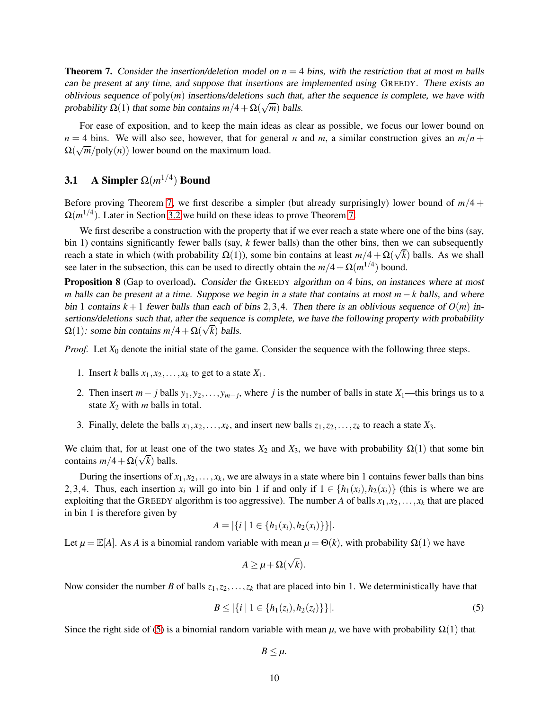<span id="page-10-1"></span>**Theorem 7.** Consider the insertion/deletion model on  $n = 4$  bins, with the restriction that at most *m* balls can be present at any time, and suppose that insertions are implemented using GREEDY. There exists an oblivious sequence of  $poly(m)$  insertions/deletions such that, after the sequence is complete, we have with probability  $\Omega(1)$  that some bin contains  $m/4 + \Omega(\sqrt{m})$  balls.

For ease of exposition, and to keep the main ideas as clear as possible, we focus our lower bound on  $n = 4$  bins. We will also see, however, that for general *n* and *m*, a similar construction gives an  $m/n$  +  $\Omega(\sqrt{m}/\text{poly}(n))$  lower bound on the maximum load.

## <span id="page-10-0"></span>3.1 A Simpler  $\Omega(m^{1/4})$  Bound

Before proving Theorem [7,](#page-10-1) we first describe a simpler (but already surprisingly) lower bound of *m*/4 +  $\Omega(m^{1/4})$ . Later in Section [3.2](#page-11-0) we build on these ideas to prove Theorem [7.](#page-10-1)

We first describe a construction with the property that if we ever reach a state where one of the bins (say, bin 1) contains significantly fewer balls (say, *k* fewer balls) than the other bins, then we can subsequently reach a state in which (with probability  $\Omega(1)$ ), some bin contains at least  $m/4 + \Omega(\sqrt{k})$  balls. As we shall see later in the subsection, this can be used to directly obtain the  $m/4 + \Omega(m^{1/4})$  bound.

<span id="page-10-3"></span>**Proposition 8** (Gap to overload). Consider the GREEDY algorithm on 4 bins, on instances where at most *m* balls can be present at a time. Suppose we begin in a state that contains at most *m* − *k* balls, and where bin 1 contains  $k+1$  fewer balls than each of bins 2,3,4. Then there is an oblivious sequence of  $O(m)$  insertions/deletions such that, after the sequence is complete, we have the following property with probability  $\Omega(1)$ : some bin contains  $m/4 + \Omega(\sqrt{k})$  balls.

*Proof.* Let  $X_0$  denote the initial state of the game. Consider the sequence with the following three steps.

- 1. Insert *k* balls  $x_1, x_2, \ldots, x_k$  to get to a state  $X_1$ .
- 2. Then insert  $m j$  balls  $y_1, y_2, \ldots, y_{m-j}$ , where *j* is the number of balls in state  $X_1$ —this brings us to a state  $X_2$  with *m* balls in total.
- 3. Finally, delete the balls  $x_1, x_2, \ldots, x_k$ , and insert new balls  $z_1, z_2, \ldots, z_k$  to reach a state  $X_3$ .

We claim that, for at least one of the two states  $X_2$  and  $X_3$ , we have with probability  $\Omega(1)$  that some bin contains  $m/4 + \Omega(\sqrt{k})$  balls.

During the insertions of  $x_1, x_2, \ldots, x_k$ , we are always in a state where bin 1 contains fewer balls than bins 2,3,4. Thus, each insertion  $x_i$  will go into bin 1 if and only if  $1 \in \{h_1(x_i), h_2(x_i)\}$  (this is where we are exploiting that the GREEDY algorithm is too aggressive). The number *A* of balls  $x_1, x_2, \ldots, x_k$  that are placed in bin 1 is therefore given by

$$
A = |\{i \mid 1 \in \{h_1(x_i), h_2(x_i)\}\}|.
$$

Let  $\mu = \mathbb{E}[A]$ . As *A* is a binomial random variable with mean  $\mu = \Theta(k)$ , with probability  $\Omega(1)$  we have

$$
A \geq \mu + \Omega(\sqrt{k}).
$$

Now consider the number *B* of balls  $z_1, z_2, \ldots, z_k$  that are placed into bin 1. We deterministically have that

<span id="page-10-2"></span>
$$
B \le |\{i \mid 1 \in \{h_1(z_i), h_2(z_i)\}\}|. \tag{5}
$$

Since the right side of [\(5\)](#page-10-2) is a binomial random variable with mean  $\mu$ , we have with probability  $\Omega(1)$  that

$$
B\leq \mu.
$$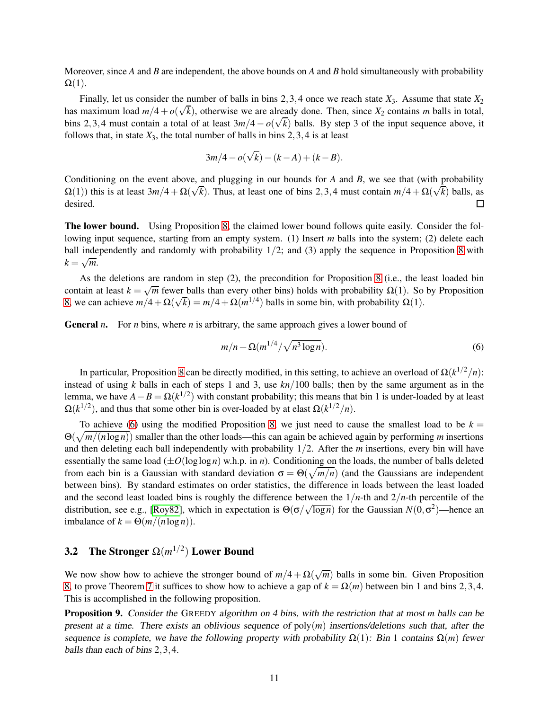Moreover, since *A* and *B* are independent, the above bounds on *A* and *B* hold simultaneously with probability  $\Omega(1)$ .

Finally, let us consider the number of balls in bins 2,3,4 once we reach state  $X_3$ . Assume that state  $X_2$ has maximum load  $m/4 + o(\sqrt{k})$ , otherwise we are already done. Then, since  $X_2$  contains *m* balls in total, bins 2,3,4 must contain a total of at least  $3m/4 - o(\sqrt{k})$  balls. By step 3 of the input sequence above, it follows that, in state  $X_3$ , the total number of balls in bins 2, 3, 4 is at least

$$
3m/4 - o(\sqrt{k}) - (k - A) + (k - B).
$$

Conditioning on the event above, and plugging in our bounds for *A* and *B*, we see that (with probability  $\Omega(1)$ ) this is at least  $3m/4 + \Omega(\sqrt{k})$ . Thus, at least one of bins 2,3,4 must contain  $m/4 + \Omega(\sqrt{k})$  balls, as desired.  $\Box$ 

The lower bound. Using Proposition [8,](#page-10-3) the claimed lower bound follows quite easily. Consider the following input sequence, starting from an empty system. (1) Insert *m* balls into the system; (2) delete each ball independently and randomly with probability 1/2; and (3) apply the sequence in Proposition [8](#page-10-3) with  $k = \sqrt{m}$ .

As the deletions are random in step (2), the precondition for Proposition [8](#page-10-3) (i.e., the least loaded bin contain at least  $k = \sqrt{m}$  fewer balls than every other bins) holds with probability  $\Omega(1)$ . So by Proposition [8,](#page-10-3) we can achieve  $m/4 + \Omega(\sqrt{k}) = m/4 + \Omega(m^{1/4})$  balls in some bin, with probability  $\Omega(1)$ .

General *n*. For *n* bins, where *n* is arbitrary, the same approach gives a lower bound of

<span id="page-11-1"></span>
$$
m/n + \Omega(m^{1/4}/\sqrt{n^3 \log n}).\tag{6}
$$

In particular, Proposition [8](#page-10-3) can be directly modified, in this setting, to achieve an overload of Ω(*k* <sup>1</sup>/2/*n*): instead of using *k* balls in each of steps 1 and 3, use *kn*/100 balls; then by the same argument as in the lemma, we have  $A - B = \Omega(k^{1/2})$  with constant probability; this means that bin 1 is under-loaded by at least  $\Omega(k^{1/2})$ , and thus that some other bin is over-loaded by at elast  $\Omega(k^{1/2}/n)$ .

To achieve [\(6\)](#page-11-1) using the modified Proposition [8,](#page-10-3) we just need to cause the smallest load to be  $k =$ Θ( p *m*/(*n*log *n*)) smaller than the other loads—this can again be achieved again by performing *m* insertions and then deleting each ball independently with probability 1/2. After the *m* insertions, every bin will have essentially the same load  $(\pm O(\log \log n)$  w.h.p. in *n*). Conditioning on the loads, the number of balls deleted from each bin is a Gaussian with standard deviation  $\sigma = \Theta(\sqrt{m/n})$  (and the Gaussians are independent between bins). By standard estimates on order statistics, the difference in loads between the least loaded and the second least loaded bins is roughly the difference between the  $1/n$ -th and  $2/n$ -th percentile of the distribution, see e.g., [\[Roy82\]](#page-30-8), which in expectation is  $\Theta(\sigma/\sqrt{\log n})$  for the Gaussian  $N(0,\sigma^2)$ —hence an imbalance of  $k = \Theta(m/(n \log n))$ .

## <span id="page-11-0"></span>3.2 The Stronger  $\Omega(m^{1/2})$  Lower Bound

We now show how to achieve the stronger bound of  $m/4 + \Omega(\sqrt{m})$  balls in some bin. Given Proposition [8,](#page-10-3) to prove Theorem [7](#page-10-1) it suffices to show how to achieve a gap of  $k = \Omega(m)$  between bin 1 and bins 2,3,4. This is accomplished in the following proposition.

<span id="page-11-2"></span>Proposition 9. Consider the GREEDY algorithm on <sup>4</sup> bins, with the restriction that at most *m* balls can be present at <sup>a</sup> time. There exists an oblivious sequence of poly(*m*) insertions/deletions such that, after the sequence is complete, we have the following property with probability  $\Omega(1)$ : Bin 1 contains  $\Omega(m)$  fewer balls than each of bins 2,3,4.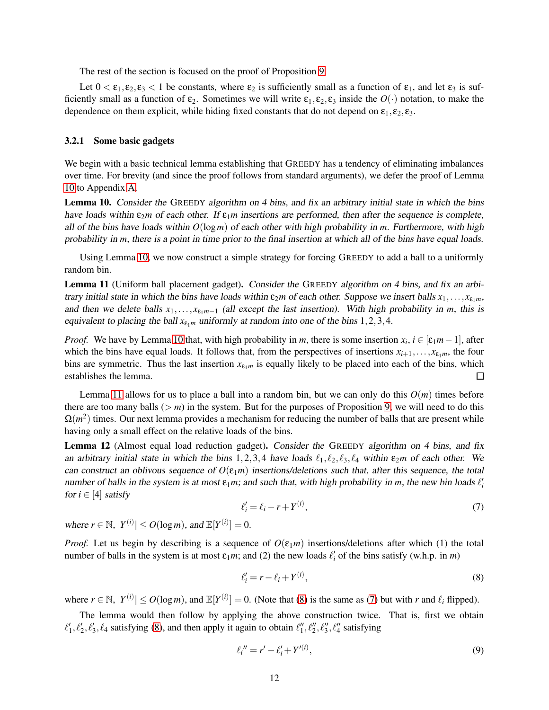The rest of the section is focused on the proof of Proposition [9.](#page-11-2)

Let  $0 < \varepsilon_1, \varepsilon_2, \varepsilon_3 < 1$  be constants, where  $\varepsilon_2$  is sufficiently small as a function of  $\varepsilon_1$ , and let  $\varepsilon_3$  is sufficiently small as a function of  $\varepsilon_2$ . Sometimes we will write  $\varepsilon_1, \varepsilon_2, \varepsilon_3$  inside the  $O(\cdot)$  notation, to make the dependence on them explicit, while hiding fixed constants that do not depend on  $\varepsilon_1, \varepsilon_2, \varepsilon_3$ .

#### 3.2.1 Some basic gadgets

We begin with a basic technical lemma establishing that GREEDY has a tendency of eliminating imbalances over time. For brevity (and since the proof follows from standard arguments), we defer the proof of Lemma [10](#page-12-0) to Appendix [A.](#page-25-0)

<span id="page-12-0"></span>Lemma 10. Consider the GREEDY algorithm on <sup>4</sup> bins, and fix an arbitrary initial state in which the bins have loads within  $\varepsilon_2 m$  of each other. If  $\varepsilon_1 m$  insertions are performed, then after the sequence is complete, all of the bins have loads within  $O(\log m)$  of each other with high probability in *m*. Furthermore, with high probability in *m*, there is <sup>a</sup> point in time prior to the final insertion at which all of the bins have equal loads.

Using Lemma [10,](#page-12-0) we now construct a simple strategy for forcing GREEDY to add a ball to a uniformly random bin.

<span id="page-12-1"></span>Lemma 11 (Uniform ball placement gadget). Consider the GREEDY algorithm on <sup>4</sup> bins, and fix an arbitrary initial state in which the bins have loads within  $\varepsilon_2 m$  of each other. Suppose we insert balls  $x_1, \ldots, x_{\varepsilon_1 m}$ , and then we delete balls  $x_1, \ldots, x_{\varepsilon_1 m-1}$  (all except the last insertion). With high probability in *m*, this is equivalent to placing the ball  $x_{\varepsilon_1 m}$  uniformly at random into one of the bins 1,2,3,4.

*Proof.* We have by Lemma [10](#page-12-0) that, with high probability in *m*, there is some insertion  $x_i$ ,  $i \in [\varepsilon_1 m - 1]$ , after which the bins have equal loads. It follows that, from the perspectives of insertions  $x_{i+1}, \ldots, x_{\epsilon_1 m}$ , the four bins are symmetric. Thus the last insertion  $x_{\epsilon_1 m}$  is equally likely to be placed into each of the bins, which establishes the lemma.  $\Box$ 

Lemma [11](#page-12-1) allows for us to place a ball into a random bin, but we can only do this  $O(m)$  times before there are too many balls  $(> m)$  in the system. But for the purposes of Proposition [9,](#page-11-2) we will need to do this  $\Omega(m^2)$  times. Our next lemma provides a mechanism for reducing the number of balls that are present while having only a small effect on the relative loads of the bins.

<span id="page-12-5"></span>Lemma 12 (Almost equal load reduction gadget). Consider the GREEDY algorithm on 4 bins, and fix an arbitrary initial state in which the bins 1,2,3,4 have loads  $\ell_1, \ell_2, \ell_3, \ell_4$  within  $\varepsilon_2 m$  of each other. We can construct an oblivous sequence of  $O(\epsilon_1 m)$  insertions/deletions such that, after this sequence, the total number of balls in the system is at most  $\varepsilon_1 m$ ; and such that, with high probability in *m*, the new bin loads  $\ell'_i$ for  $i \in [4]$  satisfy

<span id="page-12-3"></span>
$$
\ell_i' = \ell_i - r + Y^{(i)},\tag{7}
$$

where  $r \in \mathbb{N}$ ,  $|Y^{(i)}| \le O(\log m)$ , and  $\mathbb{E}[Y^{(i)}] = 0$ .

*Proof.* Let us begin by describing is a sequence of  $O(\varepsilon_1 m)$  insertions/deletions after which (1) the total number of balls in the system is at most  $\varepsilon_1 m$ ; and (2) the new loads  $\ell'_i$  of the bins satisfy (w.h.p. in *m*)

<span id="page-12-2"></span>
$$
\ell_i' = r - \ell_i + Y^{(i)},\tag{8}
$$

where  $r \in \mathbb{N}$ ,  $|Y^{(i)}| \le O(\log m)$ , and  $\mathbb{E}[Y^{(i)}] = 0$ . (Note that [\(8\)](#page-12-2) is the same as [\(7\)](#page-12-3) but with *r* and  $\ell_i$  flipped).

The lemma would then follow by applying the above construction twice. That is, first we obtain  $\ell'_1, \ell'_2, \ell'_3, \ell_4$  satisfying [\(8\)](#page-12-2), and then apply it again to obtain  $\ell''_1, \ell''_2, \ell''_3, \ell''_4$  satisfying

<span id="page-12-4"></span>
$$
\ell_i'' = r' - \ell_i' + Y'^{(i)},\tag{9}
$$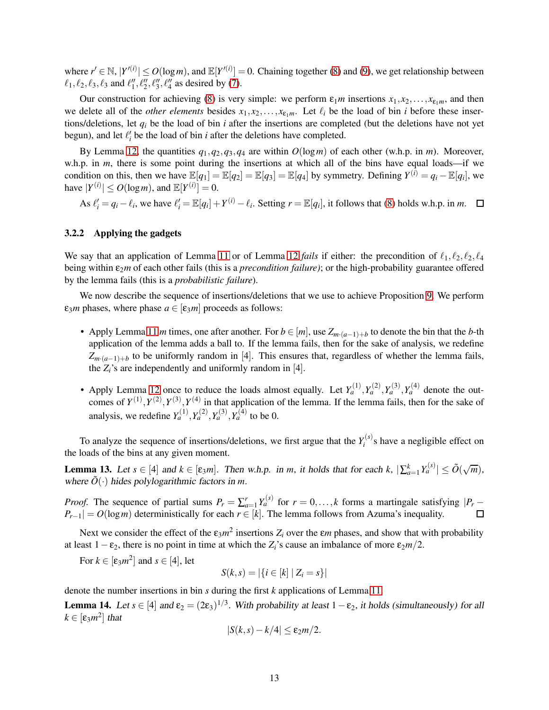where  $r' \in \mathbb{N}$ ,  $|Y^{(i)}| \le O(\log m)$ , and  $\mathbb{E}[Y^{(i)}] = 0$ . Chaining together [\(8\)](#page-12-2) and [\(9\)](#page-12-4), we get relationship between  $\ell_1, \ell_2, \ell_3, \ell_3$  and  $\ell_1'', \ell_2'', \ell_3'', \ell_4''$  as desired by [\(7\)](#page-12-3).

Our construction for achieving [\(8\)](#page-12-2) is very simple: we perform  $\varepsilon_1 m$  insertions  $x_1, x_2, \ldots, x_{\varepsilon_1 m}$ , and then we delete all of the *other elements* besides  $x_1, x_2, \ldots, x_{\varepsilon_1 m}$ . Let  $\ell_i$  be the load of bin *i* before these insertions/deletions, let  $q_i$  be the load of bin *i* after the insertions are completed (but the deletions have not yet begun), and let  $\ell_i'$  be the load of bin *i* after the deletions have completed.

By Lemma [12,](#page-12-5) the quantities  $q_1, q_2, q_3, q_4$  are within  $O(log m)$  of each other (w.h.p. in *m*). Moreover, w.h.p. in *m*, there is some point during the insertions at which all of the bins have equal loads—if we condition on this, then we have  $\mathbb{E}[q_1] = \mathbb{E}[q_2] = \mathbb{E}[q_3] = \mathbb{E}[q_4]$  by symmetry. Defining  $Y^{(i)} = q_i - \mathbb{E}[q_i]$ , we have  $|Y^{(i)}| \le O(\log m)$ , and  $\mathbb{E}[Y^{(i)}] = 0$ .

As  $\ell'_i = q_i - \ell_i$ , we have  $\ell'_i = \mathbb{E}[q_i] + Y^{(i)} - \ell_i$ . Setting  $r = \mathbb{E}[q_i]$ , it follows that [\(8\)](#page-12-2) holds w.h.p. in *m*.

#### 3.2.2 Applying the gadgets

We say that an application of Lemma [11](#page-12-1) or of Lemma [12](#page-12-5) *fails* if either: the precondition of  $\ell_1, \ell_2, \ell_2, \ell_4$ being within ε2*m* of each other fails (this is a *precondition failure)*; or the high-probability guarantee offered by the lemma fails (this is a *probabilistic failure*).

We now describe the sequence of insertions/deletions that we use to achieve Proposition [9.](#page-11-2) We perform  $\varepsilon_3 m$  phases, where phase  $a \in [\varepsilon_3 m]$  proceeds as follows:

- Apply Lemma [11](#page-12-1) *m* times, one after another. For  $b \in [m]$ , use  $Z_{m \cdot (a-1)+b}$  to denote the bin that the *b*-th application of the lemma adds a ball to. If the lemma fails, then for the sake of analysis, we redefine  $Z_{m \cdot (a-1)+b}$  to be uniformly random in [4]. This ensures that, regardless of whether the lemma fails, the  $Z_i$ 's are independently and uniformly random in [4].
- Apply Lemma [12](#page-12-5) once to reduce the loads almost equally. Let  $Y_a^{(1)}, Y_a^{(2)}, Y_a^{(3)}, Y_a^{(4)}$  denote the outcomes of  $Y^{(1)}, Y^{(2)}, Y^{(3)}, Y^{(4)}$  in that application of the lemma. If the lemma fails, then for the sake of analysis, we redefine  $Y_a^{(1)}, Y_a^{(2)}, Y_a^{(3)}, Y_a^{(4)}$  to be 0.

To analyze the sequence of insertions/deletions, we first argue that the  $Y_i^{(s)}$  $\mathbf{z}_i^{(s)}$ s have a negligible effect on the loads of the bins at any given moment.

<span id="page-13-0"></span>**Lemma 13.** Let  $s \in [4]$  and  $k \in [\varepsilon_3 m]$ . Then w.h.p. in *m*, it holds that for each  $k$ ,  $|\sum_{a=1}^k Y_a^{(s)}| \le \tilde{O}(\sqrt{m})$ , where  $\tilde{O}(\cdot)$  hides polylogarithmic factors in *m*.

*Proof.* The sequence of partial sums  $P_r = \sum_{a=1}^r Y_a^{(s)}$  for  $r = 0, \ldots, k$  forms a martingale satisfying  $|P_r - p|$  $P_{r-1}| = O(\log m)$  deterministically for each  $r \in [k]$ . The lemma follows from Azuma's inequality.

Next we consider the effect of the  $\varepsilon_3 m^2$  insertions  $Z_i$  over the  $\varepsilon_m$  phases, and show that with probability at least  $1 - \varepsilon_2$ , there is no point in time at which the  $Z_i$ 's cause an imbalance of more  $\varepsilon_2 m/2$ .

For  $k \in [\varepsilon_3 m^2]$  and  $s \in [4]$ , let

$$
S(k, s) = |\{i \in [k] \mid Z_i = s\}|
$$

denote the number insertions in bin *s* during the first *k* applications of Lemma [11.](#page-12-1)

<span id="page-13-1"></span>**Lemma 14.** Let  $s \in [4]$  and  $\varepsilon_2 = (2\varepsilon_3)^{1/3}$ . With probability at least  $1-\varepsilon_2$ , it holds (simultaneously) for all  $k \in [\epsilon_3 m^2]$  that

$$
|S(k,s)-k/4|\leq \varepsilon_2m/2.
$$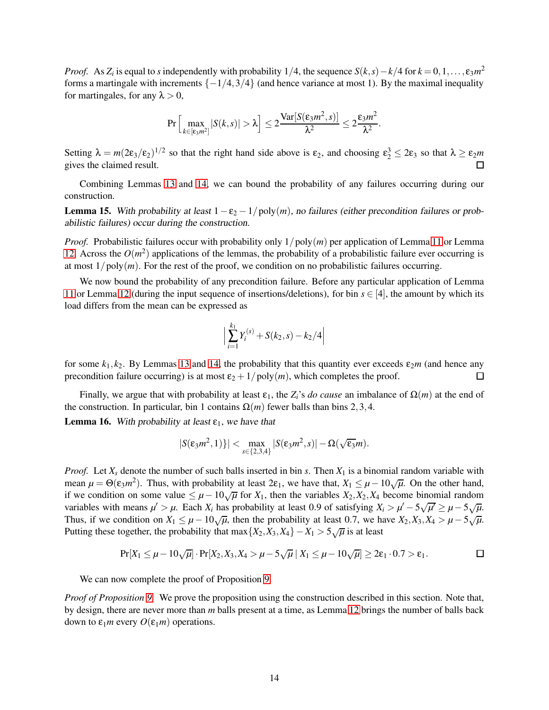*Proof.* As *Z<sub>i</sub>* is equal to *s* independently with probability 1/4, the sequence  $S(k, s) - k/4$  for  $k = 0, 1, ..., \varepsilon_3 m^2$ forms a martingale with increments  $\{-1/4,3/4\}$  (and hence variance at most 1). By the maximal inequality for martingales, for any  $\lambda > 0$ ,

$$
\Pr\Big[\max_{k\in[\epsilon_3m^2]}|S(k,s)|>\lambda\Big]\leq 2\frac{\text{Var}[S(\epsilon_3m^2,s)]}{\lambda^2}\leq 2\frac{\epsilon_3m^2}{\lambda^2}.
$$

Setting  $\lambda = m(2\varepsilon_3/\varepsilon_2)^{1/2}$  so that the right hand side above is  $\varepsilon_2$ , and choosing  $\varepsilon_2^3 \le 2\varepsilon_3$  so that  $\lambda \ge \varepsilon_2 m$ gives the claimed result.

Combining Lemmas [13](#page-13-0) and [14,](#page-13-1) we can bound the probability of any failures occurring during our construction.

<span id="page-14-0"></span>Lemma 15. With probability at least  $1 − ε<sub>2</sub> − 1/poly(m)$ , no failures (either precondition failures or probabilistic failures) occur during the construction.

*Proof.* Probabilistic failures occur with probability only  $1/poly(m)$  per application of Lemma [11](#page-12-1) or Lemma [12.](#page-12-5) Across the  $O(m^2)$  applications of the lemmas, the probability of a probabilistic failure ever occurring is at most  $1/poly(m)$ . For the rest of the proof, we condition on no probabilistic failures occurring.

We now bound the probability of any precondition failure. Before any particular application of Lemma [11](#page-12-1) or Lemma [12](#page-12-5) (during the input sequence of insertions/deletions), for bin  $s \in [4]$ , the amount by which its load differs from the mean can be expressed as

$$
\left| \sum_{i=1}^{k_1} Y_i^{(s)} + S(k_2, s) - k_2/4 \right|
$$

for some  $k_1$ ,  $k_2$ . By Lemmas [13](#page-13-0) and [14,](#page-13-1) the probability that this quantity ever exceeds  $\varepsilon_2m$  (and hence any precondition failure occurring) is at most  $\varepsilon_2 + 1/poly(m)$ , which completes the proof.  $\Box$ 

Finally, we argue that with probability at least  $\varepsilon_1$ , the  $Z_i$ 's *do cause* an imbalance of  $\Omega(m)$  at the end of the construction. In particular, bin 1 contains  $\Omega(m)$  fewer balls than bins 2, 3, 4.

<span id="page-14-1"></span>**Lemma 16.** With probability at least  $\varepsilon_1$ , we have that

$$
|S(\varepsilon_3 m^2, 1)\}| < \max_{s \in \{2,3,4\}} |S(\varepsilon_3 m^2, s)| - \Omega(\sqrt{\varepsilon_3} m).
$$

*Proof.* Let  $X_s$  denote the number of such balls inserted in bin *s*. Then  $X_1$  is a binomial random variable with mean  $\mu = \Theta(\varepsilon_3 m^2)$ . Thus, with probability at least  $2\varepsilon_1$ , we have that,  $X_1 \leq \mu - 10\sqrt{\mu}$ . On the other hand, if we condition on some value  $\leq \mu - 10\sqrt{\mu}$  for  $X_1$ , then the variables  $X_2, X_2, X_4$  become binomial random variables with means  $\mu' > \mu$ . Each  $X_i$  has probability at least 0.9 of satisfying  $X_i > \mu' - 5\sqrt{\mu'} \ge \mu - 5\sqrt{\mu}$ . Thus, if we condition on  $X_1 \leq \mu - 10\sqrt{\mu}$ , then the probability at least 0.7, we have  $X_2, X_3, X_4 > \mu - 5\sqrt{\mu}$ . Putting these together, the probability that max  $\{X_2, X_3, X_4\} - X_1 > 5\sqrt{\mu}$  is at least

$$
Pr[X_1 \leq \mu - 10\sqrt{\mu}] \cdot Pr[X_2, X_3, X_4 > \mu - 5\sqrt{\mu} | X_1 \leq \mu - 10\sqrt{\mu}] \geq 2\epsilon_1 \cdot 0.7 > \epsilon_1.
$$

We can now complete the proof of Proposition [9.](#page-11-2)

*Proof of Proposition [9.](#page-11-2)* We prove the proposition using the construction described in this section. Note that, by design, there are never more than *m* balls present at a time, as Lemma [12](#page-12-5) brings the number of balls back down to  $ε_1m$  every  $O(ε_1m)$  operations.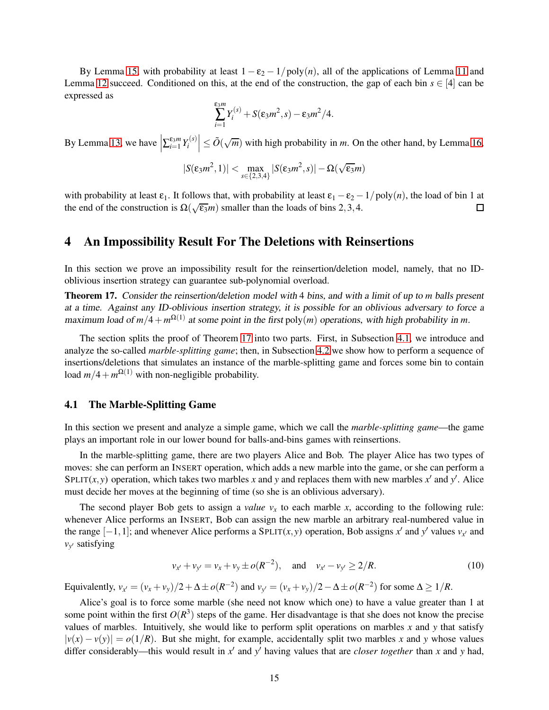By Lemma [15,](#page-14-0) with probability at least  $1 - \varepsilon_2 - 1/poly(n)$ , all of the applications of Lemma [11](#page-12-1) and Lemma [12](#page-12-5) succeed. Conditioned on this, at the end of the construction, the gap of each bin  $s \in [4]$  can be expressed as

$$
\sum_{i=1}^{\varepsilon_3 m} Y_i^{(s)} + S(\varepsilon_3 m^2, s) - \varepsilon_3 m^2/4.
$$

By Lemma [13,](#page-13-0) we have  $\left| \sum_{i=1}^{\epsilon_3 m} Y_i^{(s)} \right|$  $\left| \sum_{i=1}^{J(s)} \right| \le \tilde{O}(\sqrt{m})$  with high probability in *m*. On the other hand, by Lemma [16,](#page-14-1)

$$
|S(\epsilon_3 m^2,1)| < \max_{s \in \{2,3,4\}} |S(\epsilon_3 m^2,s)| - \Omega(\sqrt{\epsilon_3} m)
$$

with probability at least  $\varepsilon_1$ . It follows that, with probability at least  $\varepsilon_1 - \varepsilon_2 - 1/poly(n)$ , the load of bin 1 at the end of the construction is  $\Omega(\sqrt{\varepsilon_3}m)$  smaller than the loads of bins 2.3.4. the end of the construction is  $\Omega(\sqrt{\epsilon_3}m)$  smaller than the loads of bins 2,3,4.

### <span id="page-15-0"></span>4 An Impossibility Result For The Deletions with Reinsertions

In this section we prove an impossibility result for the reinsertion/deletion model, namely, that no IDoblivious insertion strategy can guarantee sub-polynomial overload.

<span id="page-15-1"></span>Theorem 17. Consider the reinsertion/deletion model with 4 bins, and with <sup>a</sup> limit of up to *m* balls present at <sup>a</sup> time. Against any ID-oblivious insertion strategy, it is possible for an oblivious adversary to force <sup>a</sup> maximum load of  $m/4 + m^{\Omega(1)}$  at some point in the first poly $(m)$  operations, with high probability in *m*.

The section splits the proof of Theorem [17](#page-15-1) into two parts. First, in Subsection [4.1,](#page-15-2) we introduce and analyze the so-called *marble-splitting game*; then, in Subsection [4.2](#page-17-0) we show how to perform a sequence of insertions/deletions that simulates an instance of the marble-splitting game and forces some bin to contain load  $m/4 + m^{\Omega(1)}$  with non-negligible probability.

### <span id="page-15-2"></span>4.1 The Marble-Splitting Game

In this section we present and analyze a simple game, which we call the *marble-splitting game*—the game plays an important role in our lower bound for balls-and-bins games with reinsertions.

In the marble-splitting game, there are two players Alice and Bob. The player Alice has two types of moves: she can perform an INSERT operation, which adds a new marble into the game, or she can perform a SPLIT(*x*,*y*) operation, which takes two marbles *x* and *y* and replaces them with new marbles  $x'$  and  $y'$ . Alice must decide her moves at the beginning of time (so she is an oblivious adversary).

The second player Bob gets to assign a *value*  $v_x$  to each marble *x*, according to the following rule: whenever Alice performs an INSERT, Bob can assign the new marble an arbitrary real-numbered value in the range  $[-1,1]$ ; and whenever Alice performs a SPLIT $(x, y)$  operation, Bob assigns  $x'$  and  $y'$  values  $v_{x'}$  and *vy* ′ satisfying

<span id="page-15-3"></span>
$$
v_{x'} + v_{y'} = v_x + v_y \pm o(R^{-2}),
$$
 and  $v_{x'} - v_{y'} \ge 2/R.$  (10)

Equivalently,  $v_{x'} = (v_x + v_y)/2 + \Delta \pm o(R^{-2})$  and  $v_{y'} = (v_x + v_y)/2 - \Delta \pm o(R^{-2})$  for some  $\Delta \ge 1/R$ .

Alice's goal is to force some marble (she need not know which one) to have a value greater than 1 at some point within the first  $O(R^3)$  steps of the game. Her disadvantage is that she does not know the precise values of marbles. Intuitively, she would like to perform split operations on marbles *x* and *y* that satisfy  $|v(x) - v(y)| = o(1/R)$ . But she might, for example, accidentally split two marbles *x* and *y* whose values differ considerably—this would result in  $x'$  and  $y'$  having values that are *closer together* than x and y had,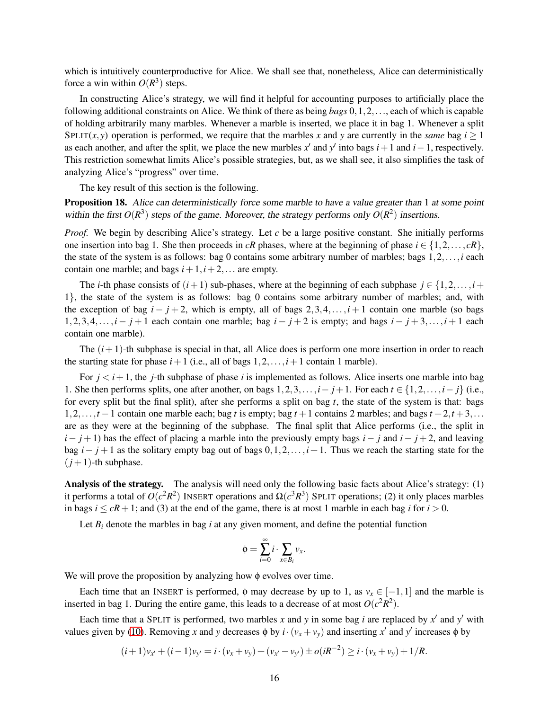which is intuitively counterproductive for Alice. We shall see that, nonetheless, Alice can deterministically force a win within  $O(R^3)$  steps.

In constructing Alice's strategy, we will find it helpful for accounting purposes to artificially place the following additional constraints on Alice. We think of there as being *bags* 0,1,2,..., each of which is capable of holding arbitrarily many marbles. Whenever a marble is inserted, we place it in bag 1. Whenever a split SPLIT(*x*, *y*) operation is performed, we require that the marbles *x* and *y* are currently in the *same* bag  $i \ge 1$ as each another, and after the split, we place the new marbles  $x'$  and  $y'$  into bags  $i+1$  and  $i-1$ , respectively. This restriction somewhat limits Alice's possible strategies, but, as we shall see, it also simplifies the task of analyzing Alice's "progress" over time.

The key result of this section is the following.

<span id="page-16-0"></span>Proposition 18. Alice can deterministically force some marble to have <sup>a</sup> value greater than 1 at some point within the first  $O(R^3)$  steps of the game. Moreover, the strategy performs only  $O(R^2)$  insertions.

*Proof.* We begin by describing Alice's strategy. Let *c* be a large positive constant. She initially performs one insertion into bag 1. She then proceeds in *cR* phases, where at the beginning of phase  $i \in \{1, 2, ..., cR\}$ , the state of the system is as follows: bag 0 contains some arbitrary number of marbles; bags 1,2,...,*i* each contain one marble; and bags  $i+1$ ,  $i+2$ ,... are empty.

The *i*-th phase consists of  $(i+1)$  sub-phases, where at the beginning of each subphase  $j \in \{1,2,\ldots,i+1\}$ 1}, the state of the system is as follows: bag 0 contains some arbitrary number of marbles; and, with the exception of bag  $i - j + 2$ , which is empty, all of bags 2,3,4,..., $i + 1$  contain one marble (so bags 1,2,3,4,..., $i - j + 1$  each contain one marble; bag  $i - j + 2$  is empty; and bags  $i - j + 3, \ldots, i + 1$  each contain one marble).

The  $(i+1)$ -th subphase is special in that, all Alice does is perform one more insertion in order to reach the starting state for phase  $i+1$  (i.e., all of bags  $1,2,\ldots,i+1$  contain 1 marble).

For  $j < i+1$ , the *j*-th subphase of phase *i* is implemented as follows. Alice inserts one marble into bag 1. She then performs splits, one after another, on bags  $1, 2, 3, \ldots, i - j + 1$ . For each  $t \in \{1, 2, \ldots, i - j\}$  (i.e., for every split but the final split), after she performs a split on bag *t*, the state of the system is that: bags 1,2,...,*t* −1 contain one marble each; bag *t* is empty; bag *t* +1 contains 2 marbles; and bags *t* +2,*t* +3,... are as they were at the beginning of the subphase. The final split that Alice performs (i.e., the split in  $i - j + 1$ ) has the effect of placing a marble into the previously empty bags  $i - j$  and  $i - j + 2$ , and leaving bag *i*− *j* +1 as the solitary empty bag out of bags 0,1,2,... ,*i*+1. Thus we reach the starting state for the  $(j+1)$ -th subphase.

Analysis of the strategy. The analysis will need only the following basic facts about Alice's strategy: (1) it performs a total of  $O(c^2R^2)$  INSERT operations and  $\Omega(c^3R^3)$  SPLIT operations; (2) it only places marbles in bags  $i \leq cR + 1$ ; and (3) at the end of the game, there is at most 1 marble in each bag *i* for  $i > 0$ .

Let  $B_i$  denote the marbles in bag *i* at any given moment, and define the potential function

$$
\phi = \sum_{i=0}^{\infty} i \cdot \sum_{x \in B_i} v_x.
$$

We will prove the proposition by analyzing how  $\phi$  evolves over time.

Each time that an INSERT is performed,  $\phi$  may decrease by up to 1, as  $v_x \in [-1,1]$  and the marble is inserted in bag 1. During the entire game, this leads to a decrease of at most  $O(c^2R^2)$ .

Each time that a SPLIT is performed, two marbles  $x$  and  $y$  in some bag  $i$  are replaced by  $x'$  and  $y'$  with values given by [\(10\)](#page-15-3). Removing *x* and *y* decreases  $\phi$  by  $i \cdot (v_x + v_y)$  and inserting *x'* and *y'* increases  $\phi$  by

$$
(i+1)v_{x'} + (i-1)v_{y'} = i \cdot (v_x + v_y) + (v_{x'} - v_{y'}) \pm o(iR^{-2}) \geq i \cdot (v_x + v_y) + 1/R.
$$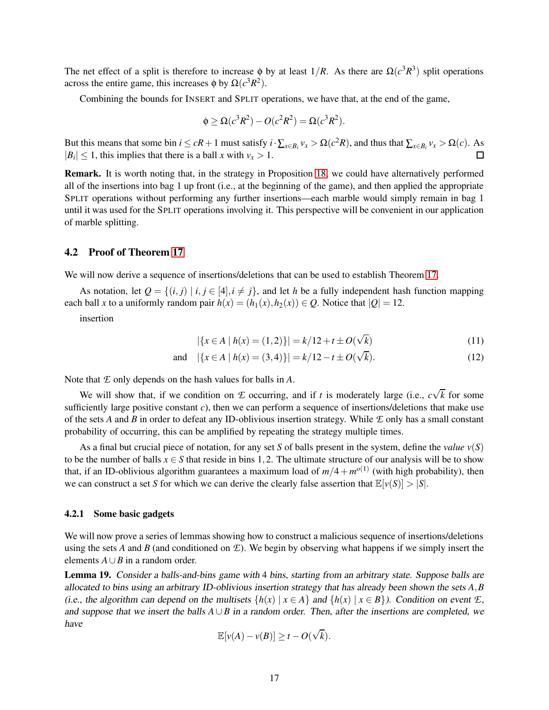The net effect of a split is therefore to increase  $\phi$  by at least  $1/R$ . As there are  $\Omega(c^3 R^3)$  split operations across the entire game, this increases  $\phi$  by  $\Omega(c^3 R^2)$ .

Combining the bounds for INSERT and SPLIT operations, we have that, at the end of the game,

$$
\phi \geq \Omega(c^3 R^2) - O(c^2 R^2) = \Omega(c^3 R^2).
$$

But this means that some bin  $i \leq cR + 1$  must satisfy  $i \cdot \sum_{x \in B_i} v_x > \Omega(c^2 R)$ , and thus that  $\sum_{x \in B_i} v_x > \Omega(c)$ . As  $\Box$  $|B_i| \leq 1$ , this implies that there is a ball *x* with  $v_x > 1$ .

Remark. It is worth noting that, in the strategy in Proposition [18,](#page-16-0) we could have alternatively performed all of the insertions into bag 1 up front (i.e., at the beginning of the game), and then applied the appropriate SPLIT operations without performing any further insertions—each marble would simply remain in bag 1 until it was used for the SPLIT operations involving it. This perspective will be convenient in our application of marble splitting.

### <span id="page-17-0"></span>4.2 Proof of Theorem [17](#page-15-1)

We will now derive a sequence of insertions/deletions that can be used to establish Theorem [17.](#page-15-1)

As notation, let  $Q = \{(i, j) | i, j \in [4], i \neq j\}$ , and let *h* be a fully independent hash function mapping each ball *x* to a uniformly random pair  $h(x) = (h_1(x), h_2(x)) \in Q$ . Notice that  $|Q| = 12$ .

insertion

<span id="page-17-3"></span><span id="page-17-2"></span>
$$
|\{x \in A \mid h(x) = (1,2)\}| = k/12 + t \pm O(\sqrt{k})\tag{11}
$$

and 
$$
|\{x \in A \mid h(x) = (3, 4)\}| = k/12 - t \pm O(\sqrt{k}).
$$
 (12)

Note that *E* only depends on the hash values for balls in *A*.

We will show that, if we condition on *E* occurring, and if *t* is moderately large (i.e.,  $c\sqrt{k}$  for some sufficiently large positive constant *c*), then we can perform a sequence of insertions/deletions that make use of the sets *A* and *B* in order to defeat any ID-oblivious insertion strategy. While *E* only has a small constant probability of occurring, this can be amplified by repeating the strategy multiple times.

As a final but crucial piece of notation, for any set *S* of balls present in the system, define the *value*  $v(S)$ to be the number of balls  $x \in S$  that reside in bins 1,2. The ultimate structure of our analysis will be to show that, if an ID-oblivious algorithm guarantees a maximum load of  $m/4 + m^{o(1)}$  (with high probability), then we can construct a set *S* for which we can derive the clearly false assertion that  $\mathbb{E}[v(S)] > |S|$ .

### 4.2.1 Some basic gadgets

We will now prove a series of lemmas showing how to construct a malicious sequence of insertions/deletions using the sets *A* and *B* (and conditioned on *E*). We begin by observing what happens if we simply insert the elements  $A \cup B$  in a random order.

<span id="page-17-1"></span>Lemma 19. Consider <sup>a</sup> balls-and-bins game with 4 bins, starting from an arbitrary state. Suppose balls are allocated to bins using an arbitrary ID-oblivious insertion strategy that has already been shown the sets *A*,*B* (i.e., the algorithm can depend on the multisets  $\{h(x) | x \in A\}$  and  $\{h(x) | x \in B\}$ ). Condition on event *E*, and suppose that we insert the balls  $A \cup B$  in a random order. Then, after the insertions are completed, we have

$$
\mathbb{E}[v(A) - v(B)] \geq t - O(\sqrt{k}).
$$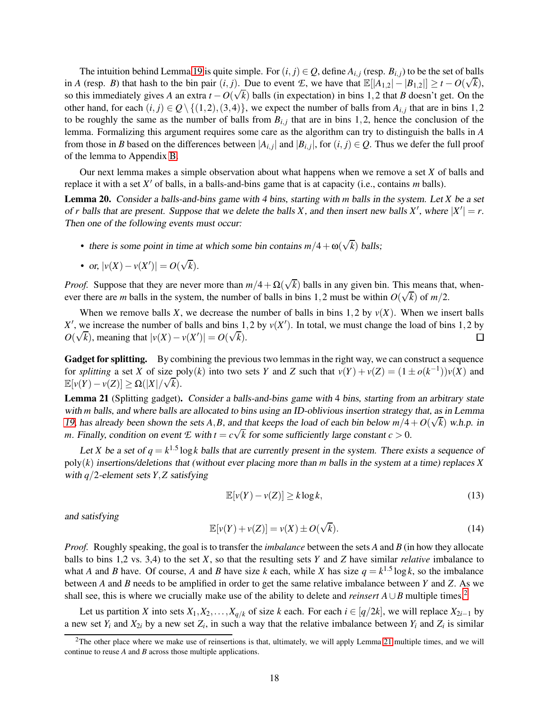The intuition behind Lemma [19](#page-17-1) is quite simple. For  $(i, j) \in Q$ , define  $A_{i,j}$  (resp.  $B_{i,j}$ ) to be the set of balls in *A* (resp. *B*) that hash to the bin pair  $(i, j)$ . Due to event *E*, we have that  $\mathbb{E}[|A_{1,2}| - |B_{1,2}|] \ge t - O(\sqrt{k})$ , so this immediately gives *A* an extra  $t - O(\sqrt{k})$  balls (in expectation) in bins 1,2 that *B* doesn't get. On the other hand, for each  $(i, j) \in Q \setminus \{(1, 2), (3, 4)\}\)$ , we expect the number of balls from  $A_{i,j}$  that are in bins 1,2 to be roughly the same as the number of balls from  $B_{i,j}$  that are in bins 1,2, hence the conclusion of the lemma. Formalizing this argument requires some care as the algorithm can try to distinguish the balls in *A* from those in *B* based on the differences between  $|A_{i,j}|$  and  $|B_{i,j}|$ , for  $(i, j) \in Q$ . Thus we defer the full proof of the lemma to Appendix [B.](#page-26-0)

Our next lemma makes a simple observation about what happens when we remove a set *X* of balls and replace it with a set *X* ′ of balls, in a balls-and-bins game that is at capacity (i.e., contains *m* balls).

<span id="page-18-2"></span>Lemma 20. Consider <sup>a</sup> balls-and-bins game with <sup>4</sup> bins, starting with *m* balls in the system. Let *X* be <sup>a</sup> set of *r* balls that are present. Suppose that we delete the balls *X*, and then insert new balls *X'*, where  $|X'| = r$ . Then one of the following events must occur:

• there is some point in time at which some bin contains  $m/4 + \omega(\sqrt{k})$  balls;

• or, 
$$
|v(X) - v(X')| = O(\sqrt{k}).
$$

*Proof.* Suppose that they are never more than  $m/4 + \Omega(\sqrt{k})$  balls in any given bin. This means that, whenever there are *m* balls in the system, the number of balls in bins 1,2 must be within  $O(\sqrt{k})$  of  $m/2$ .

When we remove balls *X*, we decrease the number of balls in bins 1,2 by  $v(X)$ . When we insert balls  $X'$ , we increase the number of balls and bins 1,2 by  $v(X')$ . In total, we must change the load of bins 1,2 by  $O(\sqrt{k})$ , meaning that  $|v(X) - v(X')| = O(\sqrt{k})$ .  $\Box$ 

Gadget for splitting. By combining the previous two lemmas in the right way, we can construct a sequence for *splitting* a set *X* of size poly(*k*) into two sets *Y* and *Z* such that  $v(Y) + v(Z) = (1 \pm o(k^{-1}))v(X)$  and  $\mathbb{E}[v(Y) - v(Z)] \ge \Omega(|X|/\sqrt{k}).$ 

<span id="page-18-1"></span>Lemma 21 (Splitting gadget). Consider a balls-and-bins game with 4 bins, starting from an arbitrary state with *m* balls, and where balls are allocated to bins using an ID-oblivious insertion strategy that, as in Lemma [19,](#page-17-1) has already been shown the sets *A*,*B*, and that keeps the load of each bin below  $m/4 + O(\sqrt{k})$  w.h.p. in *m*. Finally, condition on event *E* with  $t = c\sqrt{k}$  for some sufficiently large constant  $c > 0$ .

Let *X* be a set of  $q = k^{1.5} \log k$  balls that are currently present in the system. There exists a sequence of poly(*k*) insertions/deletions that (without ever placing more than *m* balls in the system at <sup>a</sup> time) replaces *X* with *q*/2-element sets *Y*,*Z* satisfying

<span id="page-18-3"></span>
$$
\mathbb{E}[v(Y) - v(Z)] \ge k \log k,\tag{13}
$$

and satisfying

<span id="page-18-4"></span>
$$
\mathbb{E}[v(Y) + v(Z)] = v(X) \pm O(\sqrt{k}).
$$
\n(14)

*Proof.* Roughly speaking, the goal is to transfer the *imbalance* between the sets *A* and *B* (in how they allocate balls to bins 1,2 vs. 3,4) to the set *X*, so that the resulting sets *Y* and *Z* have similar *relative* imbalance to what *A* and *B* have. Of course, *A* and *B* have size *k* each, while *X* has size  $q = k^{1.5} \log k$ , so the imbalance between *A* and *B* needs to be amplified in order to get the same relative imbalance between *Y* and *Z*. As we shall see, this is where we crucially make use of the ability to delete and *reinsert*  $A \cup B$  multiple times.<sup>[2](#page-18-0)</sup>

Let us partition *X* into sets  $X_1, X_2, \ldots, X_{q/k}$  of size *k* each. For each  $i \in [q/2k]$ , we will replace  $X_{2i-1}$  by a new set  $Y_i$  and  $X_{2i}$  by a new set  $Z_i$ , in such a way that the relative imbalance between  $Y_i$  and  $Z_i$  is similar

<span id="page-18-0"></span> $2$ The other place where we make use of reinsertions is that, ultimately, we will apply Lemma [21](#page-18-1) multiple times, and we will continue to reuse *A* and *B* across those multiple applications.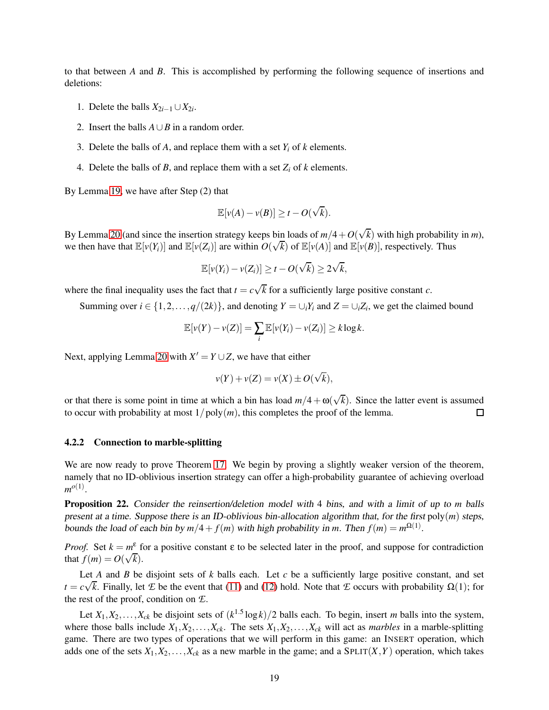to that between *A* and *B*. This is accomplished by performing the following sequence of insertions and deletions:

- 1. Delete the balls  $X_{2i-1} \cup X_{2i}$ .
- 2. Insert the balls  $A \cup B$  in a random order.
- 3. Delete the balls of *A*, and replace them with a set  $Y_i$  of *k* elements.
- 4. Delete the balls of *B*, and replace them with a set  $Z_i$  of *k* elements.

By Lemma [19,](#page-17-1) we have after Step (2) that

$$
\mathbb{E}[v(A) - v(B)] \geq t - O(\sqrt{k}).
$$

By Lemma [20](#page-18-2) (and since the insertion strategy keeps bin loads of  $m/4 + O(\sqrt{k})$  with high probability in *m*), we then have that  $\mathbb{E}[v(Y_i)]$  and  $\mathbb{E}[v(Z_i)]$  are within  $O(\sqrt{k})$  of  $\mathbb{E}[v(A)]$  and  $\mathbb{E}[v(B)]$ , respectively. Thus

$$
\mathbb{E}[v(Y_i)-v(Z_i)] \geq t - O(\sqrt{k}) \geq 2\sqrt{k},
$$

where the final inequality uses the fact that  $t = c\sqrt{k}$  for a sufficiently large positive constant *c*.

Summing over  $i \in \{1, 2, ..., q/(2k)\}$ , and denoting  $Y = \bigcup_i Y_i$  and  $Z = \bigcup_i Z_i$ , we get the claimed bound

$$
\mathbb{E}[v(Y) - v(Z)] = \sum_{i} \mathbb{E}[v(Y_i) - v(Z_i)] \ge k \log k.
$$

Next, applying Lemma [20](#page-18-2) with  $X' = Y \cup Z$ , we have that either

$$
v(Y) + v(Z) = v(X) \pm O(\sqrt{k}),
$$

or that there is some point in time at which a bin has load  $m/4 + \omega(\sqrt{k})$ . Since the latter event is assumed to occur with probability at most  $1/poly(m)$ , this completes the proof of the lemma.  $\Box$ 

### 4.2.2 Connection to marble-splitting

We are now ready to prove Theorem [17.](#page-15-1) We begin by proving a slightly weaker version of the theorem, namely that no ID-oblivious insertion strategy can offer a high-probability guarantee of achieving overload  $m^{o(1)}$ .

<span id="page-19-0"></span>Proposition 22. Consider the reinsertion/deletion model with 4 bins, and with <sup>a</sup> limit of up to *m* balls present at <sup>a</sup> time. Suppose there is an ID-oblivious bin-allocation algorithm that, for the first poly(*m*) steps, bounds the load of each bin by  $m/4 + f(m)$  with high probability in *m*. Then  $f(m) = m^{\Omega(1)}$ .

*Proof.* Set  $k = m^{\varepsilon}$  for a positive constant  $\varepsilon$  to be selected later in the proof, and suppose for contradiction that  $f(m) = O(\sqrt{k}).$ 

Let *A* and *B* be disjoint sets of *k* balls each. Let *c* be a sufficiently large positive constant, and set  $t = c\sqrt{k}$ . Finally, let *E* be the event that [\(11\)](#page-17-2) and [\(12\)](#page-17-3) hold. Note that *E* occurs with probability  $\Omega(1)$ ; for the rest of the proof, condition on *E*.

Let  $X_1, X_2, \ldots, X_{ck}$  be disjoint sets of  $(k^{1.5} \log k)/2$  balls each. To begin, insert *m* balls into the system, where those balls include  $X_1, X_2, \ldots, X_{ck}$ . The sets  $X_1, X_2, \ldots, X_{ck}$  will act as *marbles* in a marble-splitting game. There are two types of operations that we will perform in this game: an INSERT operation, which adds one of the sets  $X_1, X_2, \ldots, X_{ck}$  as a new marble in the game; and a SPLIT $(X, Y)$  operation, which takes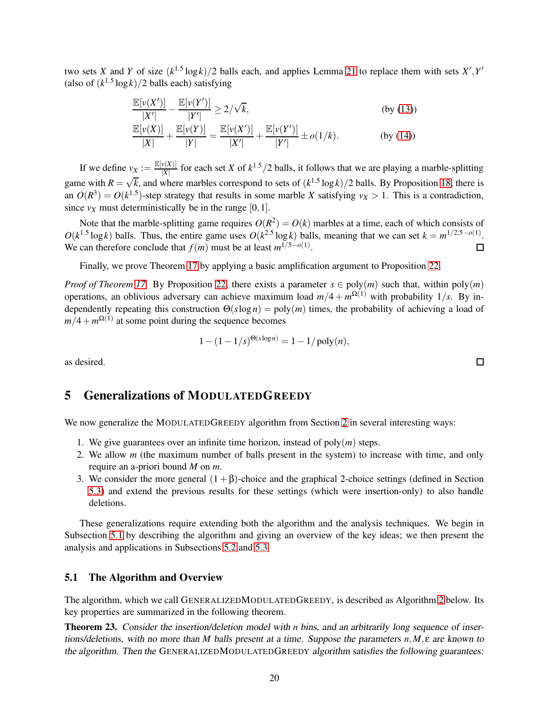two sets *X* and *Y* of size  $(k^{1.5} \log k)/2$  balls each, and applies Lemma [21](#page-18-1) to replace them with sets  $X', Y'$ (also of  $(k^{1.5} \log k)/2$  balls each) satisfying

$$
\frac{\mathbb{E}[v(X')] }{|X'|} - \frac{\mathbb{E}[v(Y')] }{|Y'|} \ge 2/\sqrt{k},
$$
\n(by (13))  
\n
$$
\frac{\mathbb{E}[v(X)] }{|X|} + \frac{\mathbb{E}[v(Y)] }{|Y|} = \frac{\mathbb{E}[v(X')] }{|X'|} + \frac{\mathbb{E}[v(Y')] }{|Y'|} \pm o(1/k).
$$
\n(by (14))

If we define  $v_X := \frac{\mathbb{E}[v(X)]}{|X|}$  $\frac{f(X)}{|X|}$  for each set *X* of  $k^{1.5}/2$  balls, it follows that we are playing a marble-splitting game with  $R = \sqrt{k}$ , and where marbles correspond to sets of  $(k^{1.5} \log k)/2$  balls. By Proposition [18,](#page-16-0) there is an  $O(R^3) = O(k^{1.5})$ -step strategy that results in some marble *X* satisfying  $v_X > 1$ . This is a contradiction, since  $v_X$  must deterministically be in the range [0, 1].

Note that the marble-splitting game requires  $O(R^2) = O(k)$  marbles at a time, each of which consists of  $O(k^{1.5} \log k)$  balls. Thus, the entire game uses  $O(k^{2.5} \log k)$  balls, meaning that we can set  $k = m^{1/2.5 - o(1)}$ . We can therefore conclude that  $f(m)$  must be at least  $m^{1/5-o(1)}$ . 口

Finally, we prove Theorem [17](#page-15-1) by applying a basic amplification argument to Proposition [22.](#page-19-0)

*Proof of Theorem [17.](#page-15-1)* By Proposition [22,](#page-19-0) there exists a parameter  $s \in \text{poly}(m)$  such that, within  $\text{poly}(m)$ operations, an oblivious adversary can achieve maximum load  $m/4 + m^{\Omega(1)}$  with probability 1/*s*. By independently repeating this construction  $\Theta(s \log n) = \text{poly}(m)$  times, the probability of achieving a load of  $m/4 + m^{\Omega(1)}$  at some point during the sequence becomes

$$
1 - (1 - 1/s)^{\Theta(s \log n)} = 1 - 1/\text{poly}(n),
$$

<span id="page-20-0"></span>as desired.

## 5 Generalizations of MODULATEDGREEDY

We now generalize the MODULATEDGREEDY algorithm from Section [2](#page-5-0) in several interesting ways:

- 1. We give guarantees over an infinite time horizon, instead of poly(*m*) steps.
- 2. We allow *m* (the maximum number of balls present in the system) to increase with time, and only require an a-priori bound *M* on *m*.
- 3. We consider the more general  $(1+\beta)$ -choice and the graphical 2-choice settings (defined in Section [5.3\)](#page-24-0) and extend the previous results for these settings (which were insertion-only) to also handle deletions.

These generalizations require extending both the algorithm and the analysis techniques. We begin in Subsection [5.1](#page-20-1) by describing the algorithm and giving an overview of the key ideas; we then present the analysis and applications in Subsections [5.2](#page-22-0) and [5.3.](#page-24-0)

### <span id="page-20-1"></span>5.1 The Algorithm and Overview

The algorithm, which we call GENERALIZEDMODULATEDGREEDY, is described as Algorithm [2](#page-21-0) below. Its key properties are summarized in the following theorem.

<span id="page-20-2"></span>Theorem 23. Consider the insertion/deletion model with *n* bins, and an arbitrarily long sequence of insertions/deletions, with no more than *M* balls present at <sup>a</sup> time. Suppose the parameters *n*,*M*,ε are known to the algorithm. Then the GENERALIZEDMODULATEDGREEDY algorithm satisfies the following guarantees:

 $\Box$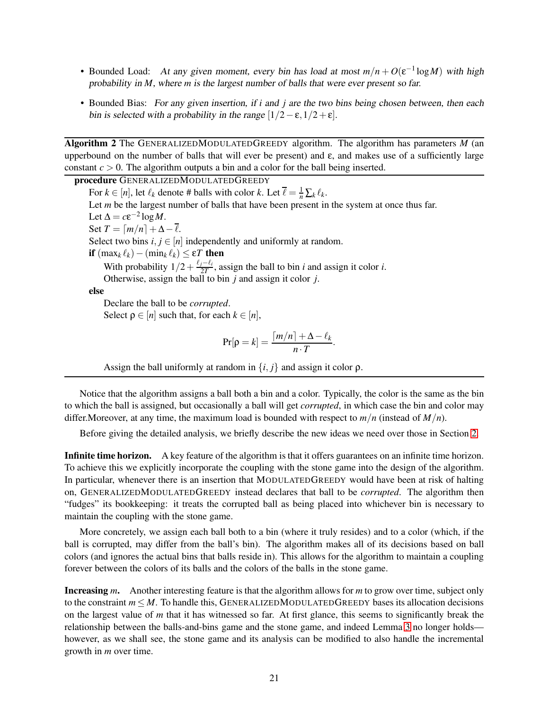- Bounded Load: At any given moment, every bin has load at most  $m/n + O(\varepsilon^{-1} \log M)$  with high probability in *M*, where *m* is the largest number of balls that were ever present so far.
- Bounded Bias: For any given insertion, if *i* and *j* are the two bins being chosen between, then each bin is selected with a probability in the range  $[1/2-\epsilon,1/2+\epsilon]$ .

<span id="page-21-0"></span>Algorithm 2 The GENERALIZEDMODULATEDGREEDY algorithm. The algorithm has parameters *M* (an upperbound on the number of balls that will ever be present) and  $\varepsilon$ , and makes use of a sufficiently large constant  $c > 0$ . The algorithm outputs a bin and a color for the ball being inserted.

procedure GENERALIZEDMODULATEDGREEDY For  $k \in [n]$ , let  $\ell_k$  denote # balls with color  $k$ . Let  $\overline{\ell} = \frac{1}{n} \sum_k \ell_k$ . Let *m* be the largest number of balls that have been present in the system at once thus far. Let  $\Delta = c \varepsilon^{-2} \log M$ . Set  $T = \lceil m/n \rceil + \Delta - \overline{\ell}$ . Select two bins  $i, j \in [n]$  independently and uniformly at random. if  $(max_k \ell_k) − (min_k \ell_k) ≤ εT$  then With probability  $1/2 + \frac{\ell_j - \ell_i}{2T}$ , assign the ball to bin *i* and assign it color *i*. Otherwise, assign the ball to bin *j* and assign it color *j*. else Declare the ball to be *corrupted*. Select  $\rho \in [n]$  such that, for each  $k \in [n]$ ,  $\Pr[\rho = k] = \frac{\lceil m/n \rceil + \Delta - \ell_k}{T}$  $\frac{1}{n \cdot T}$ .

Assign the ball uniformly at random in  $\{i, j\}$  and assign it color  $\rho$ .

Notice that the algorithm assigns a ball both a bin and a color. Typically, the color is the same as the bin to which the ball is assigned, but occasionally a ball will get *corrupted*, in which case the bin and color may differ.Moreover, at any time, the maximum load is bounded with respect to *m*/*n* (instead of *M*/*n*).

Before giving the detailed analysis, we briefly describe the new ideas we need over those in Section [2.](#page-5-0)

Infinite time horizon. A key feature of the algorithm is that it offers guarantees on an infinite time horizon. To achieve this we explicitly incorporate the coupling with the stone game into the design of the algorithm. In particular, whenever there is an insertion that MODULATEDGREEDY would have been at risk of halting on, GENERALIZEDMODULATEDGREEDY instead declares that ball to be *corrupted*. The algorithm then "fudges" its bookkeeping: it treats the corrupted ball as being placed into whichever bin is necessary to maintain the coupling with the stone game.

More concretely, we assign each ball both to a bin (where it truly resides) and to a color (which, if the ball is corrupted, may differ from the ball's bin). The algorithm makes all of its decisions based on ball colors (and ignores the actual bins that balls reside in). This allows for the algorithm to maintain a coupling forever between the colors of its balls and the colors of the balls in the stone game.

Increasing *m*. Another interesting feature is that the algorithm allows for *m* to grow over time, subject only to the constraint *m* ≤ *M*. To handle this, GENERALIZEDMODULATEDGREEDY bases its allocation decisions on the largest value of *m* that it has witnessed so far. At first glance, this seems to significantly break the relationship between the balls-and-bins game and the stone game, and indeed Lemma [3](#page-7-0) no longer holds however, as we shall see, the stone game and its analysis can be modified to also handle the incremental growth in *m* over time.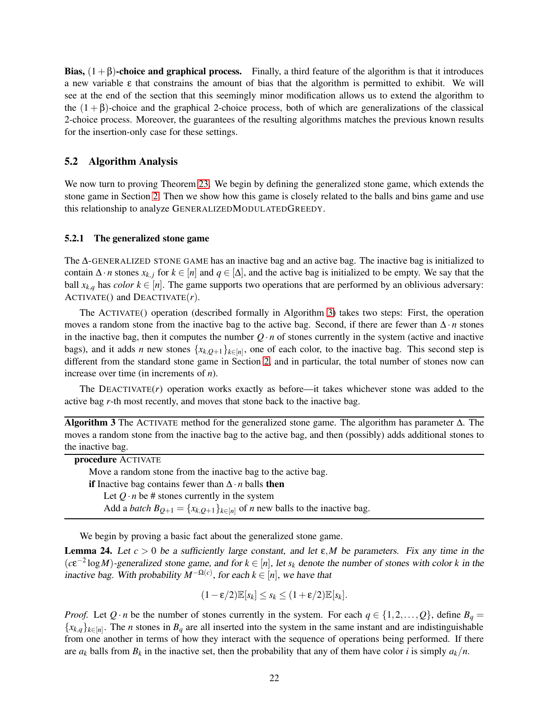Bias,  $(1+\beta)$ -choice and graphical process. Finally, a third feature of the algorithm is that it introduces a new variable  $\varepsilon$  that constrains the amount of bias that the algorithm is permitted to exhibit. We will see at the end of the section that this seemingly minor modification allows us to extend the algorithm to the  $(1 + \beta)$ -choice and the graphical 2-choice process, both of which are generalizations of the classical 2-choice process. Moreover, the guarantees of the resulting algorithms matches the previous known results for the insertion-only case for these settings.

### <span id="page-22-0"></span>5.2 Algorithm Analysis

We now turn to proving Theorem [23.](#page-20-2) We begin by defining the generalized stone game, which extends the stone game in Section [2.](#page-5-0) Then we show how this game is closely related to the balls and bins game and use this relationship to analyze GENERALIZEDMODULATEDGREEDY.

### 5.2.1 The generalized stone game

The ∆-GENERALIZED STONE GAME has an inactive bag and an active bag. The inactive bag is initialized to contain  $\Delta \cdot n$  stones  $x_{k,i}$  for  $k \in [n]$  and  $q \in [\Delta]$ , and the active bag is initialized to be empty. We say that the ball  $x_{k,q}$  has *color*  $k \in [n]$ . The game supports two operations that are performed by an oblivious adversary: ACTIVATE() and DEACTIVATE(*r*).

The ACTIVATE() operation (described formally in Algorithm [3\)](#page-22-1) takes two steps: First, the operation moves a random stone from the inactive bag to the active bag. Second, if there are fewer than ∆ · *n* stones in the inactive bag, then it computes the number  $Q \cdot n$  of stones currently in the system (active and inactive bags), and it adds *n* new stones  $\{x_{k,Q+1}\}_{k\in[n]}$ , one of each color, to the inactive bag. This second step is different from the standard stone game in Section [2,](#page-5-0) and in particular, the total number of stones now can increase over time (in increments of *n*).

The DEACTIVATE(*r*) operation works exactly as before—it takes whichever stone was added to the active bag *r*-th most recently, and moves that stone back to the inactive bag.

<span id="page-22-1"></span>Algorithm 3 The ACTIVATE method for the generalized stone game. The algorithm has parameter  $\Delta$ . The moves a random stone from the inactive bag to the active bag, and then (possibly) adds additional stones to the inactive bag.

| procedure ACTIVATE                                                                                  |
|-----------------------------------------------------------------------------------------------------|
| Move a random stone from the inactive bag to the active bag.                                        |
| <b>if</b> Inactive bag contains fewer than $\Delta \cdot n$ balls <b>then</b>                       |
| Let $Q \cdot n$ be # stones currently in the system                                                 |
| Add a <i>batch</i> $B_{Q+1} = \{x_{k,Q+1}\}_{k \in [n]}$ of <i>n</i> new balls to the inactive bag. |
|                                                                                                     |

We begin by proving a basic fact about the generalized stone game.

**Lemma 24.** Let  $c > 0$  be a sufficiently large constant, and let  $\varepsilon$ , M be parameters. Fix any time in the  $(c\epsilon^{-2} \log M)$ -generalized stone game, and for  $k \in [n]$ , let  $s_k$  denote the number of stones with color *k* in the inactive bag. With probability  $M^{-\Omega(c)}$ , for each  $k \in [n]$ , we have that

$$
(1-\varepsilon/2)\mathbb{E}[s_k] \leq s_k \leq (1+\varepsilon/2)\mathbb{E}[s_k].
$$

*Proof.* Let  $Q \cdot n$  be the number of stones currently in the system. For each  $q \in \{1, 2, ..., Q\}$ , define  $B_q =$  ${x_{k,q}}_{k\in[n]}$ . The *n* stones in  $B_q$  are all inserted into the system in the same instant and are indistinguishable from one another in terms of how they interact with the sequence of operations being performed. If there are  $a_k$  balls from  $B_k$  in the inactive set, then the probability that any of them have color *i* is simply  $a_k/n$ .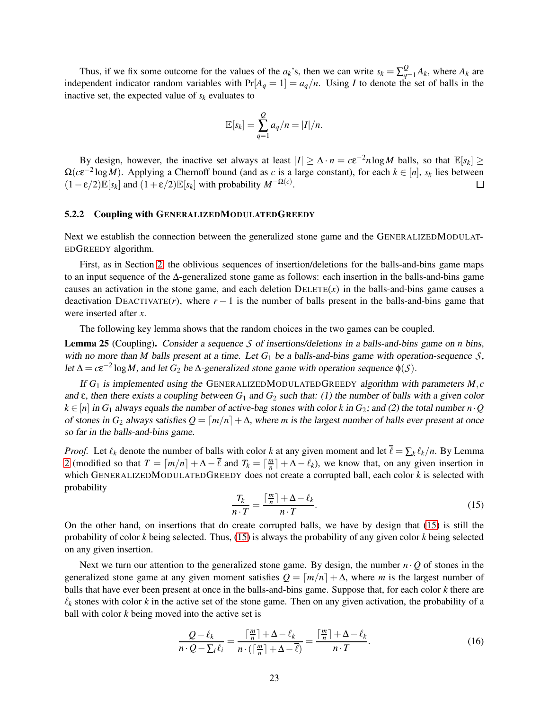Thus, if we fix some outcome for the values of the  $a_k$ 's, then we can write  $s_k = \sum_{q=1}^{Q} A_k$ , where  $A_k$  are independent indicator random variables with  $Pr[A_q = 1] = a_q/n$ . Using *I* to denote the set of balls in the inactive set, the expected value of  $s_k$  evaluates to

$$
\mathbb{E}[s_k] = \sum_{q=1}^Q a_q/n = |I|/n.
$$

By design, however, the inactive set always at least  $|I| \geq \Delta \cdot n = c \varepsilon^{-2} n \log M$  balls, so that  $\mathbb{E}[s_k] \geq$  $\Omega(c\epsilon^{-2} \log M)$ . Applying a Chernoff bound (and as *c* is a large constant), for each  $k \in [n]$ ,  $s_k$  lies between  $(1-\varepsilon/2)\mathbb{E}[s_k]$  and  $(1+\varepsilon/2)\mathbb{E}[s_k]$  with probability  $M^{-\Omega(c)}$ .

### 5.2.2 Coupling with GENERALIZEDMODULATEDGREEDY

Next we establish the connection between the generalized stone game and the GENERALIZEDMODULAT-EDGREEDY algorithm.

First, as in Section [2,](#page-5-0) the oblivious sequences of insertion/deletions for the balls-and-bins game maps to an input sequence of the ∆-generalized stone game as follows: each insertion in the balls-and-bins game causes an activation in the stone game, and each deletion  $DELETE(x)$  in the balls-and-bins game causes a deactivation DEACTIVATE(*r*), where  $r - 1$  is the number of balls present in the balls-and-bins game that were inserted after *x*.

The following key lemma shows that the random choices in the two games can be coupled.

<span id="page-23-2"></span>Lemma 25 (Coupling). Consider <sup>a</sup> sequence *S* of insertions/deletions in <sup>a</sup> balls-and-bins game on *n* bins, with no more than *M* balls present at a time. Let  $G_1$  be a balls-and-bins game with operation-sequence *S*, let  $\Delta = c \varepsilon^{-2} \log M$ , and let  $G_2$  be  $\Delta$ -generalized stone game with operation sequence  $\phi(S)$ .

If *G*<sup>1</sup> is implemented using the GENERALIZEDMODULATEDGREEDY algorithm with parameters *M*,*c* and ε, then there exists <sup>a</sup> coupling between *G*<sup>1</sup> and *G*<sup>2</sup> such that: (1) the number of balls with <sup>a</sup> given color  $k \in [n]$  in  $G_1$  always equals the number of active-bag stones with color *k* in  $G_2$ ; and (2) the total number *n* · *Q* of stones in  $G_2$  always satisfies  $Q = \lfloor m/n \rfloor + \Delta$ , where *m* is the largest number of balls ever present at once so far in the balls-and-bins game.

*Proof.* Let  $\ell_k$  denote the number of balls with color *k* at any given moment and let  $\ell = \sum_k \ell_k/n$ . By Lemma [2](#page-6-0) (modified so that  $T = \lceil m/n \rceil + \Delta - \overline{\ell}$  and  $T_k = \lceil \frac{m}{n} \rceil$  $\left\lfloor \frac{m}{n} \right\rfloor + \Delta - \ell_k$ , we know that, on any given insertion in which GENERALIZEDMODULATEDGREEDY does not create a corrupted ball, each color *k* is selected with probability

<span id="page-23-0"></span>
$$
\frac{T_k}{n \cdot T} = \frac{\lceil \frac{m}{n} \rceil + \Delta - \ell_k}{n \cdot T}.
$$
\n(15)

On the other hand, on insertions that do create corrupted balls, we have by design that [\(15\)](#page-23-0) is still the probability of color *k* being selected. Thus, [\(15\)](#page-23-0) is always the probability of any given color *k* being selected on any given insertion.

Next we turn our attention to the generalized stone game. By design, the number  $n \cdot Q$  of stones in the generalized stone game at any given moment satisfies  $Q = \lceil m/n \rceil + \Delta$ , where *m* is the largest number of balls that have ever been present at once in the balls-and-bins game. Suppose that, for each color *k* there are  $\ell_k$  stones with color  $k$  in the active set of the stone game. Then on any given activation, the probability of a ball with color *k* being moved into the active set is

<span id="page-23-1"></span>
$$
\frac{Q - \ell_k}{n \cdot Q - \sum_i \ell_i} = \frac{\lceil \frac{m}{n} \rceil + \Delta - \ell_k}{n \cdot (\lceil \frac{m}{n} \rceil + \Delta - \overline{\ell})} = \frac{\lceil \frac{m}{n} \rceil + \Delta - \ell_k}{n \cdot T}.
$$
\n(16)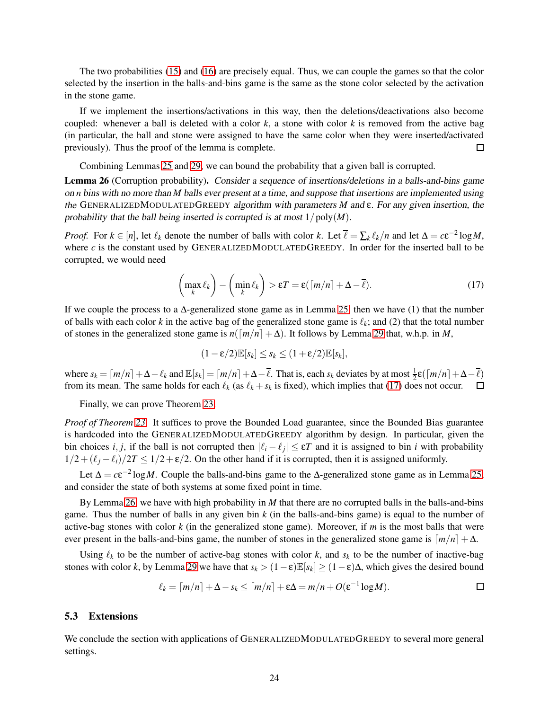The two probabilities [\(15\)](#page-23-0) and [\(16\)](#page-23-1) are precisely equal. Thus, we can couple the games so that the color selected by the insertion in the balls-and-bins game is the same as the stone color selected by the activation in the stone game.

If we implement the insertions/activations in this way, then the deletions/deactivations also become coupled: whenever a ball is deleted with a color  $k$ , a stone with color  $k$  is removed from the active bag (in particular, the ball and stone were assigned to have the same color when they were inserted/activated previously). Thus the proof of the lemma is complete.  $\Box$ 

Combining Lemmas [25](#page-23-2) and [29,](#page-25-1) we can bound the probability that a given ball is corrupted.

<span id="page-24-2"></span>Lemma 26 (Corruption probability). Consider <sup>a</sup> sequence of insertions/deletions in <sup>a</sup> balls-and-bins game on *n* bins with no more than *M* balls ever present at <sup>a</sup> time, and suppose that insertions are implemented using the GENERALIZEDMODULATEDGREEDY algorithm with parameters *M* and ε. For any given insertion, the probability that the ball being inserted is corrupted is at most  $1/poly(M)$ .

*Proof.* For  $k \in [n]$ , let  $\ell_k$  denote the number of balls with color  $k$ . Let  $\overline{\ell} = \sum_k \ell_k/n$  and let  $\Delta = c \varepsilon^{-2} \log M$ , where  $c$  is the constant used by GENERALIZEDMODULATEDGREEDY. In order for the inserted ball to be corrupted, we would need

<span id="page-24-1"></span>
$$
\left(\max_{k} \ell_{k}\right) - \left(\min_{k} \ell_{k}\right) > \varepsilon T = \varepsilon \left(\left\lceil m/n \right\rceil + \Delta - \overline{\ell}\right). \tag{17}
$$

If we couple the process to a  $\Delta$ -generalized stone game as in Lemma [25,](#page-23-2) then we have (1) that the number of balls with each color  $k$  in the active bag of the generalized stone game is  $\ell_k$ ; and (2) that the total number of stones in the generalized stone game is  $n(\lceil m/n \rceil + \Delta)$ . It follows by Lemma [29](#page-25-1) that, w.h.p. in *M*,

$$
(1-\varepsilon/2)\mathbb{E}[s_k] \leq s_k \leq (1+\varepsilon/2)\mathbb{E}[s_k],
$$

where  $s_k = \lceil m/n \rceil + \Delta - \ell_k$  and  $\mathbb{E}[s_k] = \lceil m/n \rceil + \Delta - \overline{\ell}$ . That is, each  $s_k$  deviates by at most  $\frac{1}{2} \varepsilon(\lceil m/n \rceil + \Delta - \overline{\ell})$ from its mean. The same holds for each  $\ell_k$  (as  $\ell_k + s_k$  is fixed), which implies that [\(17\)](#page-24-1) does not occur.

Finally, we can prove Theorem [23.](#page-20-2)

*Proof of Theorem* [23.](#page-20-2) It suffices to prove the Bounded Load guarantee, since the Bounded Bias guarantee is hardcoded into the GENERALIZEDMODULATEDGREEDY algorithm by design. In particular, given the bin choices *i*, *j*, if the ball is not corrupted then  $|\ell_i - \ell_j| \le \varepsilon T$  and it is assigned to bin *i* with probability  $1/2 + (\ell_i - \ell_i)/2T \leq 1/2 + \varepsilon/2$ . On the other hand if it is corrupted, then it is assigned uniformly.

Let  $\Delta = c \varepsilon^{-2} \log M$ . Couple the balls-and-bins game to the  $\Delta$ -generalized stone game as in Lemma [25,](#page-23-2) and consider the state of both systems at some fixed point in time.

By Lemma [26,](#page-24-2) we have with high probability in *M* that there are no corrupted balls in the balls-and-bins game. Thus the number of balls in any given bin *k* (in the balls-and-bins game) is equal to the number of active-bag stones with color *k* (in the generalized stone game). Moreover, if *m* is the most balls that were ever present in the balls-and-bins game, the number of stones in the generalized stone game is  $\lceil m/n \rceil + \Delta$ .

Using  $\ell_k$  to be the number of active-bag stones with color  $k$ , and  $s_k$  to be the number of inactive-bag stones with color *k*, by Lemma [29](#page-25-1) we have that  $s_k > (1 - \varepsilon) \mathbb{E}[s_k] \ge (1 - \varepsilon) \Delta$ , which gives the desired bound

$$
\ell_k = \lceil m/n \rceil + \Delta - s_k \leq \lceil m/n \rceil + \varepsilon \Delta = m/n + O(\varepsilon^{-1} \log M).
$$

### <span id="page-24-0"></span>5.3 Extensions

We conclude the section with applications of GENERALIZEDMODULATEDGREEDY to several more general settings.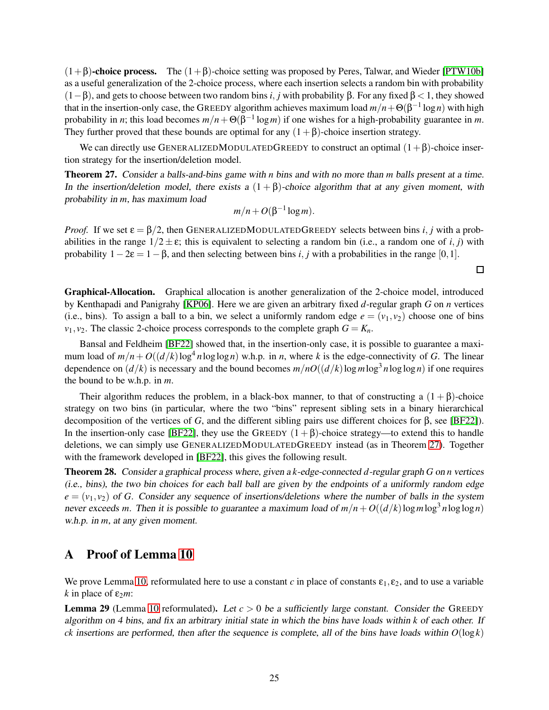$(1+\beta)$ -choice process. The  $(1+\beta)$ -choice setting was proposed by Peres, Talwar, and Wieder [\[PTW10b\]](#page-29-11) as a useful generalization of the 2-choice process, where each insertion selects a random bin with probability (1−β), and gets to choose between two random bins *i*, *j* with probability β. For any fixed β < 1, they showed that in the insertion-only case, the GREEDY algorithm achieves maximum load  $m/n + \Theta(\beta^{-1} \log n)$  with high probability in *n*; this load becomes  $m/n + \Theta(\beta^{-1} \log m)$  if one wishes for a high-probability guarantee in *m*. They further proved that these bounds are optimal for any  $(1+\beta)$ -choice insertion strategy.

We can directly use GENERALIZEDMODULATEDGREEDY to construct an optimal  $(1+\beta)$ -choice insertion strategy for the insertion/deletion model.

<span id="page-25-2"></span>Theorem 27. Consider <sup>a</sup> balls-and-bins game with *n* bins and with no more than *m* balls present at <sup>a</sup> time. In the insertion/deletion model, there exists a  $(1 + \beta)$ -choice algorithm that at any given moment, with probability in *m*, has maximum load

$$
m/n + O(\beta^{-1}\log m).
$$

*Proof.* If we set  $\varepsilon = \frac{\beta}{2}$ , then GENERALIZEDMODULATEDGREEDY selects between bins *i*, *j* with a probabilities in the range  $1/2 \pm \varepsilon$ ; this is equivalent to selecting a random bin (i.e., a random one of *i*, *j*) with probability  $1-2\varepsilon = 1-\beta$ , and then selecting between bins *i*, *j* with a probabilities in the range [0,1].

Graphical-Allocation. Graphical allocation is another generalization of the 2-choice model, introduced by Kenthapadi and Panigrahy [\[KP06\]](#page-29-12). Here we are given an arbitrary fixed *d*-regular graph *G* on *n* vertices (i.e., bins). To assign a ball to a bin, we select a uniformly random edge  $e = (v_1, v_2)$  choose one of bins  $v_1$ ,  $v_2$ . The classic 2-choice process corresponds to the complete graph  $G = K_n$ .

Bansal and Feldheim [\[BF22\]](#page-28-7) showed that, in the insertion-only case, it is possible to guarantee a maximum load of  $m/n + O((d/k) \log^4 n \log \log n)$  w.h.p. in *n*, where *k* is the edge-connectivity of *G*. The linear dependence on  $(d/k)$  is necessary and the bound becomes  $m/nO((d/k)\log m \log^3 n \log \log n)$  if one requires the bound to be w.h.p. in *m*.

Their algorithm reduces the problem, in a black-box manner, to that of constructing a  $(1 + \beta)$ -choice strategy on two bins (in particular, where the two "bins" represent sibling sets in a binary hierarchical decomposition of the vertices of *G*, and the different sibling pairs use different choices for β, see [\[BF22\]](#page-28-7)). In the insertion-only case [\[BF22\]](#page-28-7), they use the GREEDY  $(1 + \beta)$ -choice strategy—to extend this to handle deletions, we can simply use GENERALIZEDMODULATEDGREEDY instead (as in Theorem [27\)](#page-25-2). Together with the framework developed in [\[BF22\]](#page-28-7), this gives the following result.

Theorem 28. Consider <sup>a</sup> graphical process where, given <sup>a</sup> *k*-edge-connected *d*-regular graph *G* on *n* vertices (i.e., bins), the two bin choices for each ball ball are given by the endpoints of <sup>a</sup> uniformly random edge  $e = (v_1, v_2)$  of *G*. Consider any sequence of insertions/deletions where the number of balls in the system never exceeds *m*. Then it is possible to guarantee a maximum load of  $m/n + O((d/k) \log m \log^3 n \log \log n)$ w.h.p. in *m*, at any given moment.

## <span id="page-25-0"></span>A Proof of Lemma [10](#page-12-0)

We prove Lemma [10,](#page-12-0) reformulated here to use a constant *c* in place of constants  $\varepsilon_1$ ,  $\varepsilon_2$ , and to use a variable  $k$  in place of  $\varepsilon_2 m$ :

<span id="page-25-1"></span>**Lemma 29** (Lemma [10](#page-12-0) reformulated). Let  $c > 0$  be a sufficiently large constant. Consider the GREEDY algorithm on <sup>4</sup> bins, and fix an arbitrary initial state in which the bins have loads within *k* of each other. If *ck* insertions are performed, then after the sequence is complete, all of the bins have loads within  $O(\log k)$ 

 $\Box$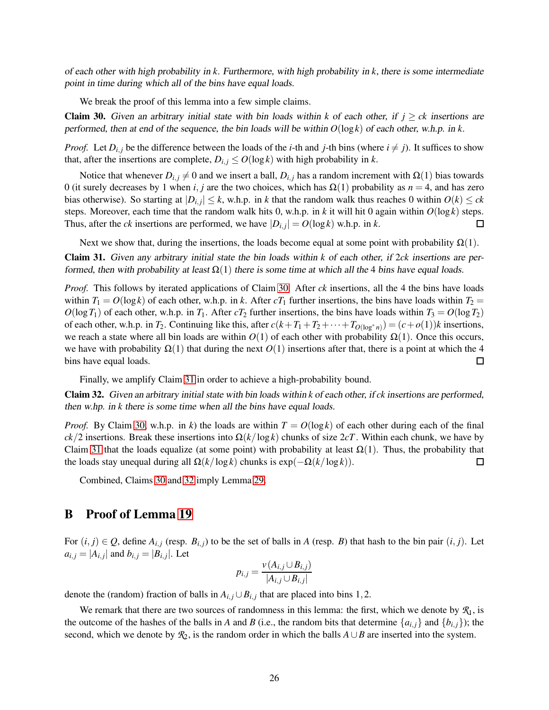of each other with high probability in *k*. Furthermore, with high probability in *k*, there is some intermediate point in time during which all of the bins have equal loads.

We break the proof of this lemma into a few simple claims.

<span id="page-26-1"></span>**Claim 30.** Given an arbitrary initial state with bin loads within *k* of each other, if  $j \geq ck$  insertions are performed, then at end of the sequence, the bin loads will be within *O*(log*k*) of each other, w.h.p. in *k*.

*Proof.* Let  $D_{i,j}$  be the difference between the loads of the *i*-th and *j*-th bins (where  $i \neq j$ ). It suffices to show that, after the insertions are complete,  $D_{i,j} \leq O(\log k)$  with high probability in *k*.

Notice that whenever  $D_{i,j} \neq 0$  and we insert a ball,  $D_{i,j}$  has a random increment with  $\Omega(1)$  bias towards 0 (it surely decreases by 1 when *i*, *j* are the two choices, which has  $\Omega(1)$  probability as  $n = 4$ , and has zero bias otherwise). So starting at  $|D_{i,j}| \leq k$ , w.h.p. in *k* that the random walk thus reaches 0 within  $O(k) \leq ck$ steps. Moreover, each time that the random walk hits 0, w.h.p. in *k* it will hit 0 again within  $O(\log k)$  steps. Thus, after the *ck* insertions are performed, we have  $|D_{i,j}| = O(\log k)$  w.h.p. in *k*. □

Next we show that, during the insertions, the loads become equal at some point with probability  $\Omega(1)$ .

<span id="page-26-2"></span>Claim 31. Given any arbitrary initial state the bin loads within *k* of each other, if 2*ck* insertions are performed, then with probability at least  $\Omega(1)$  there is some time at which all the 4 bins have equal loads.

*Proof.* This follows by iterated applications of Claim [30.](#page-26-1) After *ck* insertions, all the 4 the bins have loads within  $T_1 = O(\log k)$  of each other, w.h.p. in *k*. After  $cT_1$  further insertions, the bins have loads within  $T_2 =$  $O(\log T_1)$  of each other, w.h.p. in  $T_1$ . After  $cT_2$  further insertions, the bins have loads within  $T_3 = O(\log T_2)$ of each other, w.h.p. in  $T_2$ . Continuing like this, after  $c(k+T_1+T_2+\cdots+T_{O(\log^* n)})=(c+o(1))k$  insertions, we reach a state where all bin loads are within  $O(1)$  of each other with probability  $\Omega(1)$ . Once this occurs, we have with probability  $\Omega(1)$  that during the next  $O(1)$  insertions after that, there is a point at which the 4 bins have equal loads.  $\Box$ 

Finally, we amplify Claim [31](#page-26-2) in order to achieve a high-probability bound.

<span id="page-26-3"></span>Claim 32. Given an arbitrary initial state with bin loads within *k* of each other, if *ck* insertions are performed, then w.hp. in *k* there is some time when all the bins have equal loads.

*Proof.* By Claim [30,](#page-26-1) w.h.p. in *k*) the loads are within  $T = O(\log k)$  of each other during each of the final  $ck/2$  insertions. Break these insertions into  $\Omega(k/\log k)$  chunks of size  $2cT$ . Within each chunk, we have by Claim [31](#page-26-2) that the loads equalize (at some point) with probability at least  $\Omega(1)$ . Thus, the probability that the loads stay unequal during all  $\Omega(k/\log k)$  chunks is  $\exp(-\Omega(k/\log k))$ .  $\Box$ 

Combined, Claims [30](#page-26-1) and [32](#page-26-3) imply Lemma [29.](#page-25-1)

## <span id="page-26-0"></span>B Proof of Lemma [19](#page-17-1)

For  $(i, j) \in Q$ , define  $A_{i,j}$  (resp.  $B_{i,j}$ ) to be the set of balls in *A* (resp. *B*) that hash to the bin pair  $(i, j)$ . Let  $a_{i,j} = |A_{i,j}|$  and  $b_{i,j} = |B_{i,j}|$ . Let

$$
p_{i,j} = \frac{v(A_{i,j} \cup B_{i,j})}{|A_{i,j} \cup B_{i,j}|}
$$

denote the (random) fraction of balls in  $A_{i,j} \cup B_{i,j}$  that are placed into bins 1,2.

We remark that there are two sources of randomness in this lemma: the first, which we denote by  $\mathcal{R}_1$ , is the outcome of the hashes of the balls in *A* and *B* (i.e., the random bits that determine  $\{a_{i,j}\}$  and  $\{b_{i,j}\}$ ); the second, which we denote by  $\mathcal{R}_2$ , is the random order in which the balls  $A \cup B$  are inserted into the system.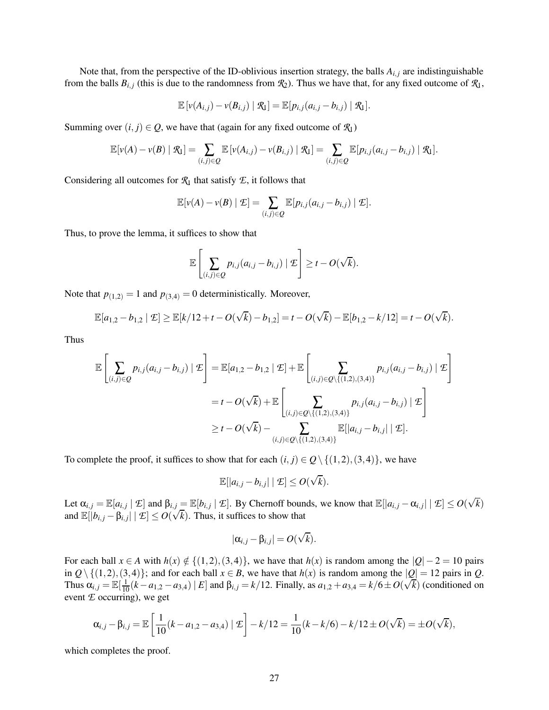Note that, from the perspective of the ID-oblivious insertion strategy, the balls  $A_{i,j}$  are indistinguishable from the balls  $B_{i,j}$  (this is due to the randomness from  $\mathcal{R}_2$ ). Thus we have that, for any fixed outcome of  $\mathcal{R}_1$ ,

$$
\mathbb{E}\left[\nu(A_{i,j})-\nu(B_{i,j})\mid \mathcal{R}_1\right]=\mathbb{E}\left[p_{i,j}(a_{i,j}-b_{i,j})\mid \mathcal{R}_1\right].
$$

Summing over  $(i, j) \in Q$ , we have that (again for any fixed outcome of  $\mathcal{R}_1$ )

$$
\mathbb{E}[v(A)-v(B)\mid \mathcal{R}_1]=\sum_{(i,j)\in Q}\mathbb{E}[v(A_{i,j})-v(B_{i,j})\mid \mathcal{R}_1]=\sum_{(i,j)\in Q}\mathbb{E}[p_{i,j}(a_{i,j}-b_{i,j})\mid \mathcal{R}_1].
$$

Considering all outcomes for  $\mathcal{R}_1$  that satisfy  $\mathcal{E}$ , it follows that

$$
\mathbb{E}[v(A) - v(B) | \mathcal{E}] = \sum_{(i,j) \in Q} \mathbb{E}[p_{i,j}(a_{i,j} - b_{i,j}) | \mathcal{E}].
$$

Thus, to prove the lemma, it suffices to show that

$$
\mathbb{E}\left[\sum_{(i,j)\in Q}p_{i,j}(a_{i,j}-b_{i,j})\mid \mathcal{I}\right]\geq t-O(\sqrt{k}).
$$

Note that  $p_{(1,2)} = 1$  and  $p_{(3,4)} = 0$  deterministically. Moreover,

$$
\mathbb{E}[a_{1,2}-b_{1,2} | \mathcal{L}] \geq \mathbb{E}[k/12+t - O(\sqrt{k}) - b_{1,2}] = t - O(\sqrt{k}) - \mathbb{E}[b_{1,2}-k/12] = t - O(\sqrt{k}).
$$

Thus

$$
\mathbb{E}\left[\sum_{(i,j)\in Q}p_{i,j}(a_{i,j}-b_{i,j})\mid \mathcal{I}\right] = \mathbb{E}[a_{1,2}-b_{1,2}\mid \mathcal{I}]+\mathbb{E}\left[\sum_{(i,j)\in Q\setminus\{(1,2),(3,4)\}}p_{i,j}(a_{i,j}-b_{i,j})\mid \mathcal{I}\right]
$$
  
=  $t - O(\sqrt{k}) + \mathbb{E}\left[\sum_{(i,j)\in Q\setminus\{(1,2),(3,4)\}}p_{i,j}(a_{i,j}-b_{i,j})\mid \mathcal{I}\right]$   

$$
\geq t - O(\sqrt{k}) - \sum_{(i,j)\in Q\setminus\{(1,2),(3,4)\}}\mathbb{E}[|a_{i,j}-b_{i,j}|\mid \mathcal{I}].
$$

To complete the proof, it suffices to show that for each  $(i, j) \in Q \setminus \{(1, 2), (3, 4)\}\)$ , we have

$$
\mathbb{E}[|a_{i,j}-b_{i,j}| \mid \mathcal{I}] \leq O(\sqrt{k}).
$$

Let  $\alpha_{i,j} = \mathbb{E}[a_{i,j} | \mathcal{I}]$  and  $\beta_{i,j} = \mathbb{E}[b_{i,j} | \mathcal{I}]$ . By Chernoff bounds, we know that  $\mathbb{E}[|a_{i,j} - \alpha_{i,j}| | \mathcal{I}] \le O(\sqrt{k})$ and  $\mathbb{E}[|b_{i,j} - \beta_{i,j}| \mid \mathcal{E}] \leq O(\sqrt{k})$ . Thus, it suffices to show that

$$
|\alpha_{i,j}-\beta_{i,j}|=O(\sqrt{k}).
$$

For each ball  $x \in A$  with  $h(x) \notin \{(1,2), (3,4)\}\)$ , we have that  $h(x)$  is random among the  $|Q| - 2 = 10$  pairs in  $Q \setminus \{(1,2),(3,4)\}$ ; and for each ball  $x \in B$ , we have that  $h(x)$  is random among the  $|Q| = 12$  pairs in  $Q$ . Thus  $\alpha_{i,j} = \mathbb{E}[\frac{1}{10}(k-a_{1,2}-a_{3,4}) | E]$  and  $\beta_{i,j} = k/12$ . Finally, as  $a_{1,2} + a_{3,4} = k/6 \pm O(\sqrt{k})$  (conditioned on event *E* occurring), we get

$$
\alpha_{i,j} - \beta_{i,j} = \mathbb{E}\left[\frac{1}{10}(k - a_{1,2} - a_{3,4}) \mid \mathcal{E}\right] - k/12 = \frac{1}{10}(k - k/6) - k/12 \pm O(\sqrt{k}) = \pm O(\sqrt{k}),
$$

which completes the proof.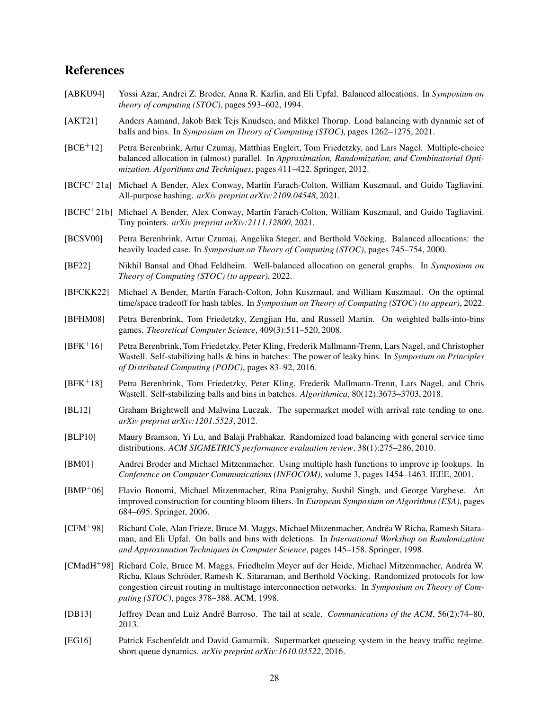## References

- <span id="page-28-0"></span>[ABKU94] Yossi Azar, Andrei Z. Broder, Anna R. Karlin, and Eli Upfal. Balanced allocations. In *Symposium on theory of computing (STOC)*, pages 593–602, 1994.
- <span id="page-28-12"></span>[AKT21] Anders Aamand, Jakob Bæk Tejs Knudsen, and Mikkel Thorup. Load balancing with dynamic set of balls and bins. In *Symposium on Theory of Computing (STOC)*, pages 1262–1275, 2021.
- <span id="page-28-9"></span>[BCE+12] Petra Berenbrink, Artur Czumaj, Matthias Englert, Tom Friedetzky, and Lars Nagel. Multiple-choice balanced allocation in (almost) parallel. In *Approximation, Randomization, and Combinatorial Optimization. Algorithms and Techniques*, pages 411–422. Springer, 2012.
- <span id="page-28-18"></span>[BCFC<sup>+</sup>21a] Michael A Bender, Alex Conway, Martín Farach-Colton, William Kuszmaul, and Guido Tagliavini. All-purpose hashing. *arXiv preprint arXiv:2109.04548*, 2021.
- <span id="page-28-17"></span>[BCFC+21b] Michael A Bender, Alex Conway, Martín Farach-Colton, William Kuszmaul, and Guido Tagliavini. Tiny pointers. *arXiv preprint arXiv:2111.12800*, 2021.
- <span id="page-28-5"></span>[BCSV00] Petra Berenbrink, Artur Czumaj, Angelika Steger, and Berthold Vöcking. Balanced allocations: the heavily loaded case. In *Symposium on Theory of Computing (STOC)*, pages 745–754, 2000.
- <span id="page-28-7"></span>[BF22] Nikhil Bansal and Ohad Feldheim. Well-balanced allocation on general graphs. In *Symposium on Theory of Computing (STOC) (to appear)*, 2022.
- <span id="page-28-13"></span>[BFCKK22] Michael A Bender, Martín Farach-Colton, John Kuszmaul, and William Kuszmaul. On the optimal time/space tradeoff for hash tables. In *Symposium on Theory of Computing (STOC) (to appear)*, 2022.
- <span id="page-28-8"></span>[BFHM08] Petra Berenbrink, Tom Friedetzky, Zengjian Hu, and Russell Martin. On weighted balls-into-bins games. *Theoretical Computer Science*, 409(3):511–520, 2008.
- <span id="page-28-10"></span>[BFK+16] Petra Berenbrink, Tom Friedetzky, Peter Kling, Frederik Mallmann-Trenn, Lars Nagel, and Christopher Wastell. Self-stabilizing balls & bins in batches: The power of leaky bins. In *Symposium on Principles of Distributed Computing (PODC)*, pages 83–92, 2016.
- <span id="page-28-11"></span>[BFK+18] Petra Berenbrink, Tom Friedetzky, Peter Kling, Frederik Mallmann-Trenn, Lars Nagel, and Chris Wastell. Self-stabilizing balls and bins in batches. *Algorithmica*, 80(12):3673–3703, 2018.
- <span id="page-28-15"></span>[BL12] Graham Brightwell and Malwina Luczak. The supermarket model with arrival rate tending to one. *arXiv preprint arXiv:1201.5523*, 2012.
- <span id="page-28-14"></span>[BLP10] Maury Bramson, Yi Lu, and Balaji Prabhakar. Randomized load balancing with general service time distributions. *ACM SIGMETRICS performance evaluation review*, 38(1):275–286, 2010.
- <span id="page-28-3"></span>[BM01] Andrei Broder and Michael Mitzenmacher. Using multiple hash functions to improve ip lookups. In *Conference on Computer Communications (INFOCOM)*, volume 3, pages 1454–1463. IEEE, 2001.
- <span id="page-28-1"></span>[BMP+06] Flavio Bonomi, Michael Mitzenmacher, Rina Panigrahy, Sushil Singh, and George Varghese. An improved construction for counting bloom filters. In *European Symposium on Algorithms (ESA)*, pages 684–695. Springer, 2006.
- <span id="page-28-4"></span>[CFM<sup>+98]</sup> Richard Cole, Alan Frieze, Bruce M. Maggs, Michael Mitzenmacher, Andréa W Richa, Ramesh Sitaraman, and Eli Upfal. On balls and bins with deletions. In *International Workshop on Randomization and Approximation Techniques in Computer Science*, pages 145–158. Springer, 1998.
- <span id="page-28-6"></span>[CMadH<sup>+98]</sup> Richard Cole, Bruce M. Maggs, Friedhelm Meyer auf der Heide, Michael Mitzenmacher, Andréa W. Richa, Klaus Schröder, Ramesh K. Sitaraman, and Berthold Vöcking. Randomized protocols for low congestion circuit routing in multistage interconnection networks. In *Symposium on Theory of Computing (STOC)*, pages 378–388. ACM, 1998.
- <span id="page-28-2"></span>[DB13] Jeffrey Dean and Luiz André Barroso. The tail at scale. *Communications of the ACM*, 56(2):74–80, 2013.
- <span id="page-28-16"></span>[EG16] Patrick Eschenfeldt and David Gamarnik. Supermarket queueing system in the heavy traffic regime. short queue dynamics. *arXiv preprint arXiv:1610.03522*, 2016.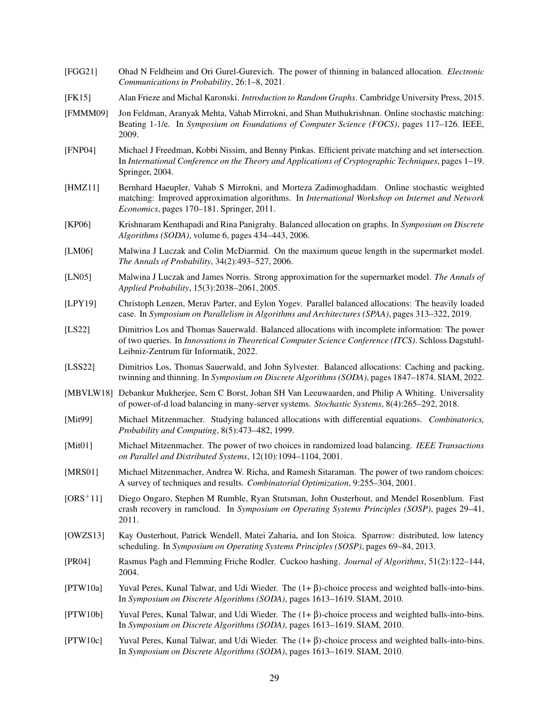- <span id="page-29-14"></span>[FGG21] Ohad N Feldheim and Ori Gurel-Gurevich. The power of thinning in balanced allocation. *Electronic Communications in Probability*, 26:1–8, 2021.
- <span id="page-29-20"></span>[FK15] Alan Frieze and Michal Karonski. *Introduction to Random Graphs*. Cambridge University Press, 2015.
- <span id="page-29-3"></span>[FMMM09] Jon Feldman, Aranyak Mehta, Vahab Mirrokni, and Shan Muthukrishnan. Online stochastic matching: Beating 1-1/e. In *Symposium on Foundations of Computer Science (FOCS)*, pages 117–126. IEEE, 2009.
- <span id="page-29-2"></span>[FNP04] Michael J Freedman, Kobbi Nissim, and Benny Pinkas. Efficient private matching and set intersection. In *International Conference on the Theory and Applications of Cryptographic Techniques*, pages 1–19. Springer, 2004.
- <span id="page-29-4"></span>[HMZ11] Bernhard Haeupler, Vahab S Mirrokni, and Morteza Zadimoghaddam. Online stochastic weighted matching: Improved approximation algorithms. In *International Workshop on Internet and Network Economics*, pages 170–181. Springer, 2011.
- <span id="page-29-12"></span>[KP06] Krishnaram Kenthapadi and Rina Panigrahy. Balanced allocation on graphs. In *Symposium on Discrete Algorithms (SODA)*, volume 6, pages 434–443, 2006.
- <span id="page-29-18"></span>[LM06] Malwina J Luczak and Colin McDiarmid. On the maximum queue length in the supermarket model. *The Annals of Probability*, 34(2):493–527, 2006.
- <span id="page-29-19"></span>[LN05] Malwina J Luczak and James Norris. Strong approximation for the supermarket model. *The Annals of Applied Probability*, 15(3):2038–2061, 2005.
- <span id="page-29-16"></span>[LPY19] Christoph Lenzen, Merav Parter, and Eylon Yogev. Parallel balanced allocations: The heavily loaded case. In *Symposium on Parallelism in Algorithms and Architectures (SPAA)*, pages 313–322, 2019.
- <span id="page-29-15"></span>[LS22] Dimitrios Los and Thomas Sauerwald. Balanced allocations with incomplete information: The power of two queries. In *Innovations in Theoretical Computer Science Conference (ITCS)*. Schloss Dagstuhl-Leibniz-Zentrum für Informatik, 2022.
- <span id="page-29-10"></span>[LSS22] Dimitrios Los, Thomas Sauerwald, and John Sylvester. Balanced allocations: Caching and packing, twinning and thinning. In *Symposium on Discrete Algorithms (SODA)*, pages 1847–1874. SIAM, 2022.
- <span id="page-29-17"></span>[MBVLW18] Debankur Mukherjee, Sem C Borst, Johan SH Van Leeuwaarden, and Philip A Whiting. Universality of power-of-d load balancing in many-server systems. *Stochastic Systems*, 8(4):265–292, 2018.
- <span id="page-29-8"></span>[Mit99] Michael Mitzenmacher. Studying balanced allocations with differential equations. *Combinatorics, Probability and Computing*, 8(5):473–482, 1999.
- <span id="page-29-7"></span>[Mit01] Michael Mitzenmacher. The power of two choices in randomized load balancing. *IEEE Transactions on Parallel and Distributed Systems*, 12(10):1094–1104, 2001.
- <span id="page-29-0"></span>[MRS01] Michael Mitzenmacher, Andrea W. Richa, and Ramesh Sitaraman. The power of two random choices: A survey of techniques and results. *Combinatorial Optimization*, 9:255–304, 2001.
- <span id="page-29-6"></span>[ORS+11] Diego Ongaro, Stephen M Rumble, Ryan Stutsman, John Ousterhout, and Mendel Rosenblum. Fast crash recovery in ramcloud. In *Symposium on Operating Systems Principles (SOSP)*, pages 29–41, 2011.
- <span id="page-29-5"></span>[OWZS13] Kay Ousterhout, Patrick Wendell, Matei Zaharia, and Ion Stoica. Sparrow: distributed, low latency scheduling. In *Symposium on Operating Systems Principles (SOSP)*, pages 69–84, 2013.
- <span id="page-29-1"></span>[PR04] Rasmus Pagh and Flemming Friche Rodler. Cuckoo hashing. *Journal of Algorithms*, 51(2):122–144, 2004.
- <span id="page-29-9"></span>[PTW10a] Yuval Peres, Kunal Talwar, and Udi Wieder. The (1+ β)-choice process and weighted balls-into-bins. In *Symposium on Discrete Algorithms (SODA)*, pages 1613–1619. SIAM, 2010.
- <span id="page-29-11"></span>[PTW10b] Yuval Peres, Kunal Talwar, and Udi Wieder. The (1+ β)-choice process and weighted balls-into-bins. In *Symposium on Discrete Algorithms (SODA)*, pages 1613–1619. SIAM, 2010.
- <span id="page-29-13"></span>[PTW10c] Yuval Peres, Kunal Talwar, and Udi Wieder. The (1+ β)-choice process and weighted balls-into-bins. In *Symposium on Discrete Algorithms (SODA)*, pages 1613–1619. SIAM, 2010.